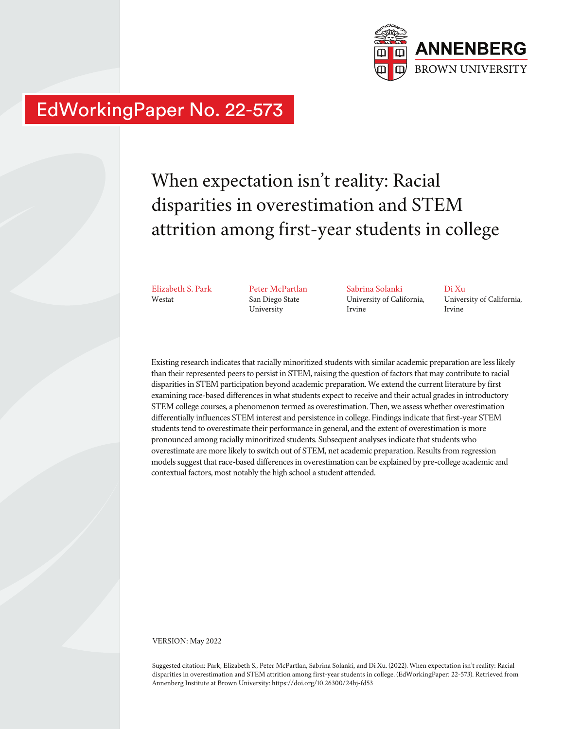

## EdWorkingPaper No. 22-573

# When expectation isn't reality: Racial disparities in overestimation and STEM attrition among first-year students in college

Elizabeth S. Park Westat

Peter McPartlan San Diego State University

Sabrina Solanki University of California, Irvine

Di Xu University of California, Irvine

Existing research indicates that racially minoritized students with similar academic preparation are less likely than their represented peers to persist in STEM, raising the question of factors that may contribute to racial disparities in STEM participation beyond academic preparation. We extend the current literature by first examining race-based differences in what students expect to receive and their actual grades in introductory STEM college courses, a phenomenon termed as overestimation. Then, we assess whether overestimation differentially influences STEM interest and persistence in college. Findings indicate that first-year STEM students tend to overestimate their performance in general, and the extent of overestimation is more pronounced among racially minoritized students. Subsequent analyses indicate that students who overestimate are more likely to switch out of STEM, net academic preparation. Results from regression models suggest that race-based differences in overestimation can be explained by pre-college academic and contextual factors, most notably the high school a student attended.

VERSION: May 2022

Suggested citation: Park, Elizabeth S., Peter McPartlan, Sabrina Solanki, and Di Xu. (2022). When expectation isn't reality: Racial disparities in overestimation and STEM attrition among first-year students in college. (EdWorkingPaper: 22-573). Retrieved from Annenberg Institute at Brown University: https://doi.org/10.26300/24hj-fd53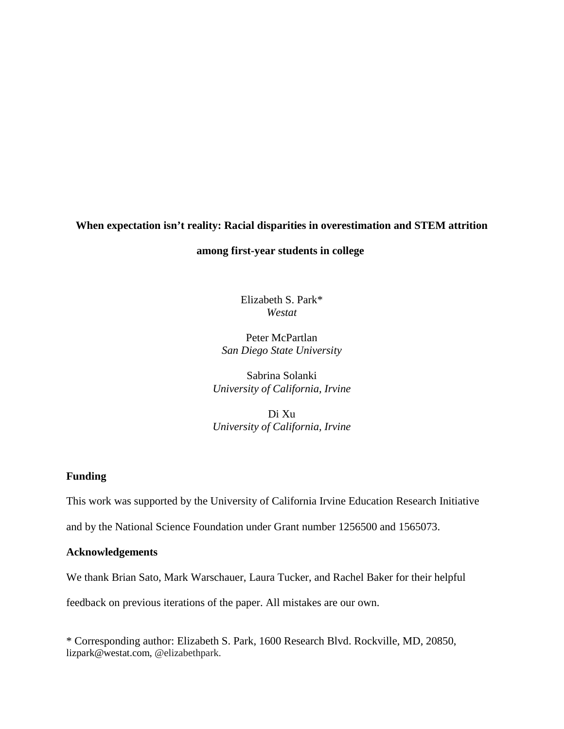## **When expectation isn't reality: Racial disparities in overestimation and STEM attrition**

#### **among first-year students in college**

Elizabeth S. Park\* *Westat*

Peter McPartlan *San Diego State University*

Sabrina Solanki *University of California, Irvine*

Di Xu *University of California, Irvine*

## **Funding**

This work was supported by the University of California Irvine Education Research Initiative

and by the National Science Foundation under Grant number 1256500 and 1565073.

#### **Acknowledgements**

We thank Brian Sato, Mark Warschauer, Laura Tucker, and Rachel Baker for their helpful

feedback on previous iterations of the paper. All mistakes are our own.

\* Corresponding author: Elizabeth S. Park, 1600 Research Blvd. Rockville, MD, 20850, lizpark@westat.com, @elizabethpark.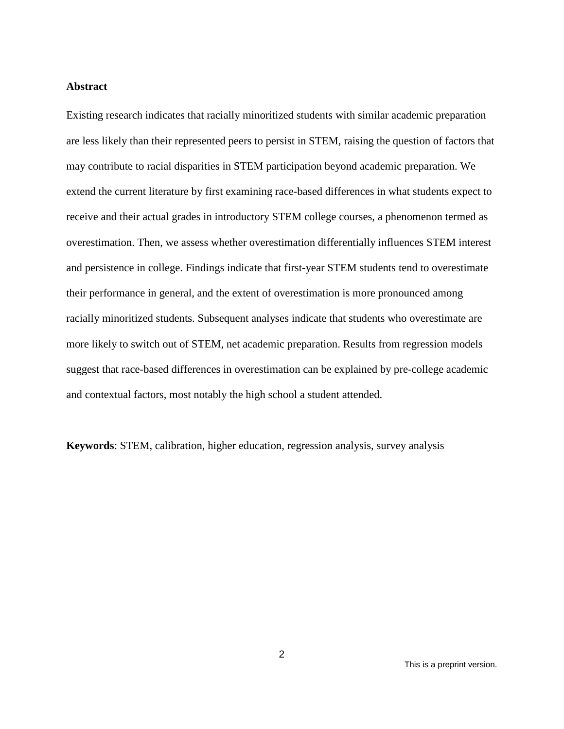#### **Abstract**

Existing research indicates that racially minoritized students with similar academic preparation are less likely than their represented peers to persist in STEM, raising the question of factors that may contribute to racial disparities in STEM participation beyond academic preparation. We extend the current literature by first examining race-based differences in what students expect to receive and their actual grades in introductory STEM college courses, a phenomenon termed as overestimation. Then, we assess whether overestimation differentially influences STEM interest and persistence in college. Findings indicate that first-year STEM students tend to overestimate their performance in general, and the extent of overestimation is more pronounced among racially minoritized students. Subsequent analyses indicate that students who overestimate are more likely to switch out of STEM, net academic preparation. Results from regression models suggest that race-based differences in overestimation can be explained by pre-college academic and contextual factors, most notably the high school a student attended.

**Keywords**: STEM, calibration, higher education, regression analysis, survey analysis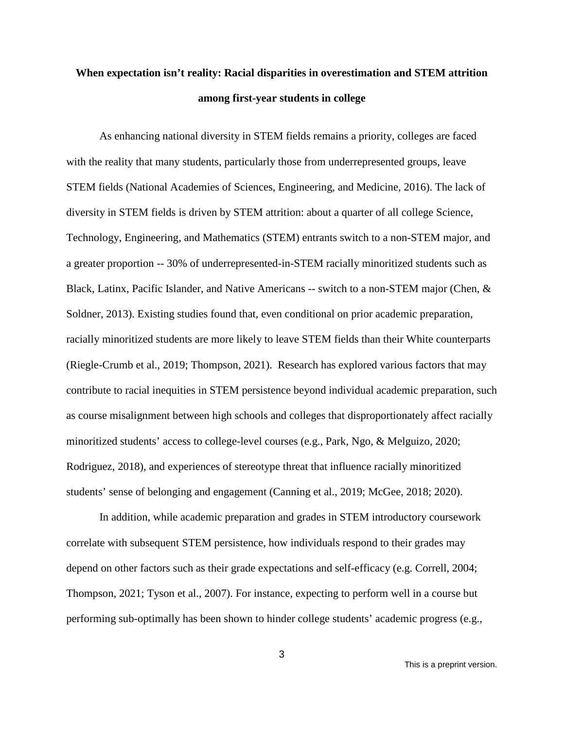## **When expectation isn't reality: Racial disparities in overestimation and STEM attrition among first-year students in college**

As enhancing national diversity in STEM fields remains a priority, colleges are faced with the reality that many students, particularly those from underrepresented groups, leave STEM fields (National Academies of Sciences, Engineering, and Medicine, 2016). The lack of diversity in STEM fields is driven by STEM attrition: about a quarter of all college Science, Technology, Engineering, and Mathematics (STEM) entrants switch to a non-STEM major, and a greater proportion -- 30% of underrepresented-in-STEM racially minoritized students such as Black, Latinx, Pacific Islander, and Native Americans -- switch to a non-STEM major (Chen, & Soldner, 2013). Existing studies found that, even conditional on prior academic preparation, racially minoritized students are more likely to leave STEM fields than their White counterparts (Riegle-Crumb et al., 2019; Thompson, 2021). Research has explored various factors that may contribute to racial inequities in STEM persistence beyond individual academic preparation, such as course misalignment between high schools and colleges that disproportionately affect racially minoritized students' access to college-level courses (e.g., Park, Ngo, & Melguizo, 2020; Rodriguez, 2018), and experiences of stereotype threat that influence racially minoritized students' sense of belonging and engagement (Canning et al., 2019; McGee, 2018; 2020).

In addition, while academic preparation and grades in STEM introductory coursework correlate with subsequent STEM persistence, how individuals respond to their grades may depend on other factors such as their grade expectations and self-efficacy (e.g. Correll, 2004; Thompson, 2021; Tyson et al., 2007). For instance, expecting to perform well in a course but performing sub-optimally has been shown to hinder college students' academic progress (e.g.,

This is a preprint version.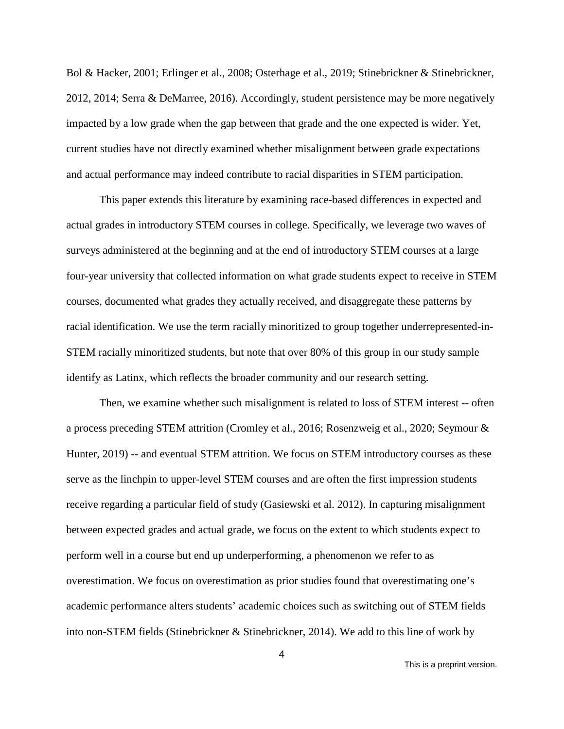Bol & Hacker, 2001; Erlinger et al., 2008; Osterhage et al., 2019; Stinebrickner & Stinebrickner, 2012, 2014; Serra & DeMarree, 2016). Accordingly, student persistence may be more negatively impacted by a low grade when the gap between that grade and the one expected is wider. Yet, current studies have not directly examined whether misalignment between grade expectations and actual performance may indeed contribute to racial disparities in STEM participation.

This paper extends this literature by examining race-based differences in expected and actual grades in introductory STEM courses in college. Specifically, we leverage two waves of surveys administered at the beginning and at the end of introductory STEM courses at a large four-year university that collected information on what grade students expect to receive in STEM courses, documented what grades they actually received, and disaggregate these patterns by racial identification. We use the term racially minoritized to group together underrepresented-in-STEM racially minoritized students, but note that over 80% of this group in our study sample identify as Latinx, which reflects the broader community and our research setting.

Then, we examine whether such misalignment is related to loss of STEM interest -- often a process preceding STEM attrition (Cromley et al., 2016; Rosenzweig et al., 2020; Seymour & Hunter, 2019) -- and eventual STEM attrition. We focus on STEM introductory courses as these serve as the linchpin to upper-level STEM courses and are often the first impression students receive regarding a particular field of study (Gasiewski et al. 2012). In capturing misalignment between expected grades and actual grade, we focus on the extent to which students expect to perform well in a course but end up underperforming, a phenomenon we refer to as overestimation. We focus on overestimation as prior studies found that overestimating one's academic performance alters students' academic choices such as switching out of STEM fields into non-STEM fields (Stinebrickner & Stinebrickner, 2014). We add to this line of work by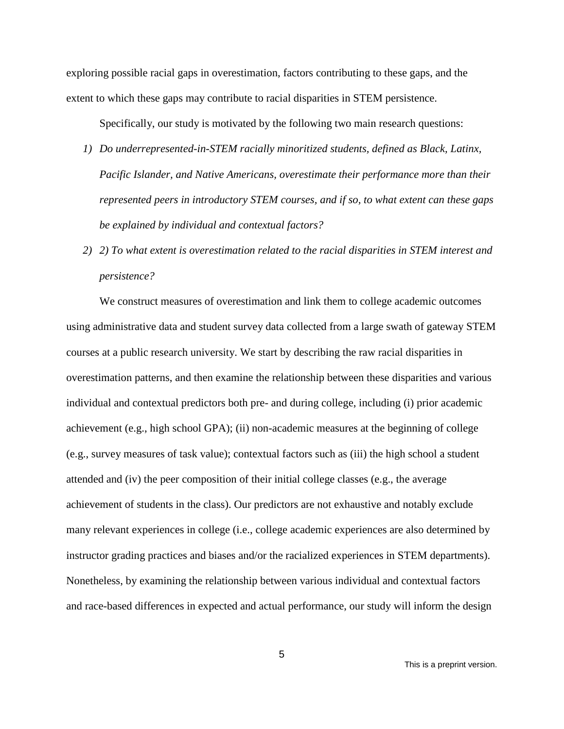exploring possible racial gaps in overestimation, factors contributing to these gaps, and the extent to which these gaps may contribute to racial disparities in STEM persistence.

Specifically, our study is motivated by the following two main research questions:

- *1) Do underrepresented-in-STEM racially minoritized students, defined as Black, Latinx, Pacific Islander, and Native Americans, overestimate their performance more than their represented peers in introductory STEM courses, and if so, to what extent can these gaps be explained by individual and contextual factors?*
- *2) 2) To what extent is overestimation related to the racial disparities in STEM interest and persistence?*

We construct measures of overestimation and link them to college academic outcomes using administrative data and student survey data collected from a large swath of gateway STEM courses at a public research university. We start by describing the raw racial disparities in overestimation patterns, and then examine the relationship between these disparities and various individual and contextual predictors both pre- and during college, including (i) prior academic achievement (e.g., high school GPA); (ii) non-academic measures at the beginning of college (e.g., survey measures of task value); contextual factors such as (iii) the high school a student attended and (iv) the peer composition of their initial college classes (e.g., the average achievement of students in the class). Our predictors are not exhaustive and notably exclude many relevant experiences in college (i.e., college academic experiences are also determined by instructor grading practices and biases and/or the racialized experiences in STEM departments). Nonetheless, by examining the relationship between various individual and contextual factors and race-based differences in expected and actual performance, our study will inform the design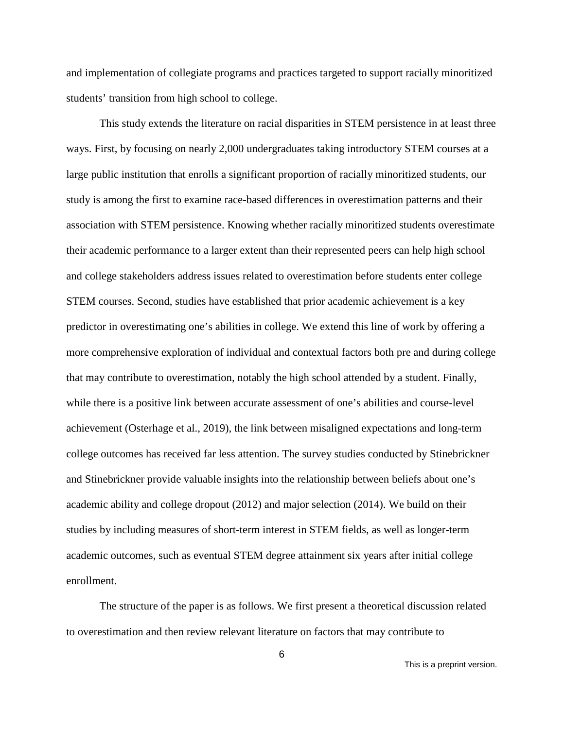and implementation of collegiate programs and practices targeted to support racially minoritized students' transition from high school to college.

This study extends the literature on racial disparities in STEM persistence in at least three ways. First, by focusing on nearly 2,000 undergraduates taking introductory STEM courses at a large public institution that enrolls a significant proportion of racially minoritized students, our study is among the first to examine race-based differences in overestimation patterns and their association with STEM persistence. Knowing whether racially minoritized students overestimate their academic performance to a larger extent than their represented peers can help high school and college stakeholders address issues related to overestimation before students enter college STEM courses. Second, studies have established that prior academic achievement is a key predictor in overestimating one's abilities in college. We extend this line of work by offering a more comprehensive exploration of individual and contextual factors both pre and during college that may contribute to overestimation, notably the high school attended by a student. Finally, while there is a positive link between accurate assessment of one's abilities and course-level achievement (Osterhage et al., 2019), the link between misaligned expectations and long-term college outcomes has received far less attention. The survey studies conducted by Stinebrickner and Stinebrickner provide valuable insights into the relationship between beliefs about one's academic ability and college dropout (2012) and major selection (2014). We build on their studies by including measures of short-term interest in STEM fields, as well as longer-term academic outcomes, such as eventual STEM degree attainment six years after initial college enrollment.

The structure of the paper is as follows. We first present a theoretical discussion related to overestimation and then review relevant literature on factors that may contribute to

This is a preprint version.

6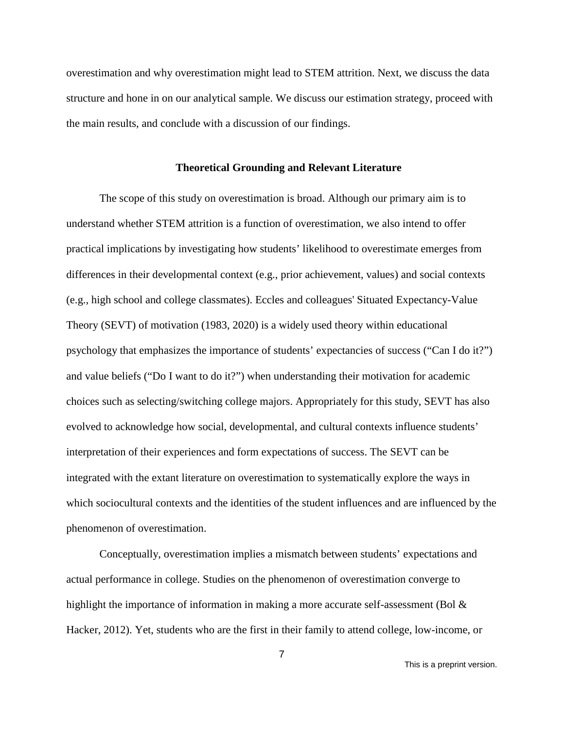overestimation and why overestimation might lead to STEM attrition. Next, we discuss the data structure and hone in on our analytical sample. We discuss our estimation strategy, proceed with the main results, and conclude with a discussion of our findings.

#### **Theoretical Grounding and Relevant Literature**

The scope of this study on overestimation is broad. Although our primary aim is to understand whether STEM attrition is a function of overestimation, we also intend to offer practical implications by investigating how students' likelihood to overestimate emerges from differences in their developmental context (e.g., prior achievement, values) and social contexts (e.g., high school and college classmates). Eccles and colleagues' Situated Expectancy-Value Theory (SEVT) of motivation (1983, 2020) is a widely used theory within educational psychology that emphasizes the importance of students' expectancies of success ("Can I do it?") and value beliefs ("Do I want to do it?") when understanding their motivation for academic choices such as selecting/switching college majors. Appropriately for this study, SEVT has also evolved to acknowledge how social, developmental, and cultural contexts influence students' interpretation of their experiences and form expectations of success. The SEVT can be integrated with the extant literature on overestimation to systematically explore the ways in which sociocultural contexts and the identities of the student influences and are influenced by the phenomenon of overestimation.

Conceptually, overestimation implies a mismatch between students' expectations and actual performance in college. Studies on the phenomenon of overestimation converge to highlight the importance of information in making a more accurate self-assessment (Bol  $\&$ Hacker, 2012). Yet, students who are the first in their family to attend college, low-income, or

This is a preprint version.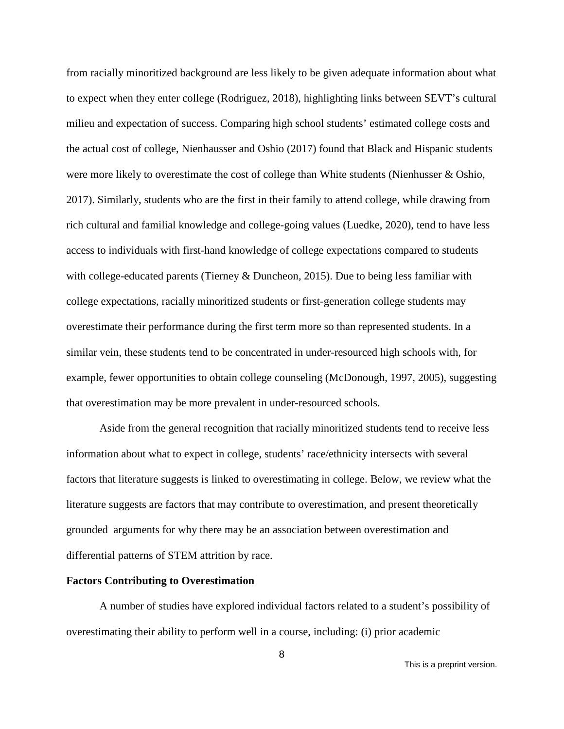from racially minoritized background are less likely to be given adequate information about what to expect when they enter college (Rodriguez, 2018), highlighting links between SEVT's cultural milieu and expectation of success. Comparing high school students' estimated college costs and the actual cost of college, Nienhausser and Oshio (2017) found that Black and Hispanic students were more likely to overestimate the cost of college than White students (Nienhusser & Oshio, 2017). Similarly, students who are the first in their family to attend college, while drawing from rich cultural and familial knowledge and college-going values (Luedke, 2020), tend to have less access to individuals with first-hand knowledge of college expectations compared to students with college-educated parents (Tierney & Duncheon, 2015). Due to being less familiar with college expectations, racially minoritized students or first-generation college students may overestimate their performance during the first term more so than represented students. In a similar vein, these students tend to be concentrated in under-resourced high schools with, for example, fewer opportunities to obtain college counseling (McDonough, 1997, 2005), suggesting that overestimation may be more prevalent in under-resourced schools.

Aside from the general recognition that racially minoritized students tend to receive less information about what to expect in college, students' race/ethnicity intersects with several factors that literature suggests is linked to overestimating in college. Below, we review what the literature suggests are factors that may contribute to overestimation, and present theoretically grounded arguments for why there may be an association between overestimation and differential patterns of STEM attrition by race.

#### **Factors Contributing to Overestimation**

A number of studies have explored individual factors related to a student's possibility of overestimating their ability to perform well in a course, including: (i) prior academic

This is a preprint version.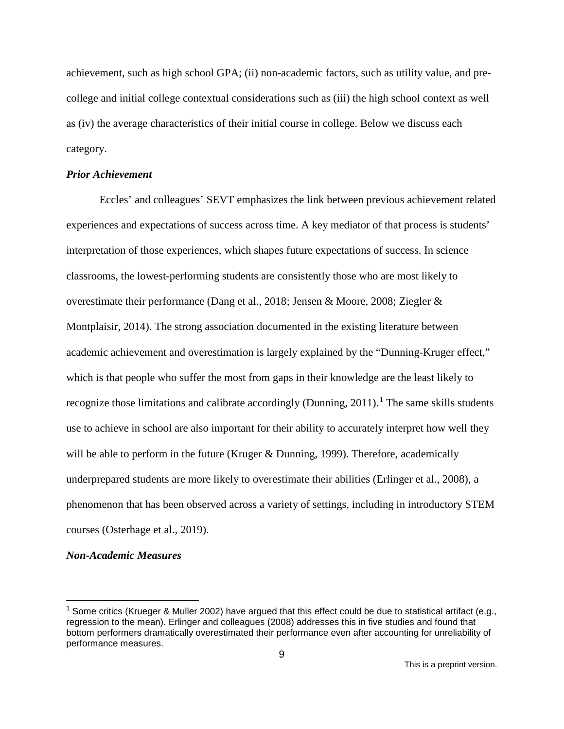achievement, such as high school GPA; (ii) non-academic factors, such as utility value, and precollege and initial college contextual considerations such as (iii) the high school context as well as (iv) the average characteristics of their initial course in college. Below we discuss each category.

#### *Prior Achievement*

Eccles' and colleagues' SEVT emphasizes the link between previous achievement related experiences and expectations of success across time. A key mediator of that process is students' interpretation of those experiences, which shapes future expectations of success. In science classrooms, the lowest-performing students are consistently those who are most likely to overestimate their performance (Dang et al., 2018; Jensen & Moore, 2008; Ziegler & Montplaisir, 2014). The strong association documented in the existing literature between academic achievement and overestimation is largely explained by the "Dunning-Kruger effect," which is that people who suffer the most from gaps in their knowledge are the least likely to recognize those limitations and calibrate accordingly (Dunning,  $2011$  $2011$  $2011$ ).<sup>1</sup> The same skills students use to achieve in school are also important for their ability to accurately interpret how well they will be able to perform in the future (Kruger & Dunning, 1999). Therefore, academically underprepared students are more likely to overestimate their abilities (Erlinger et al., 2008), a phenomenon that has been observed across a variety of settings, including in introductory STEM courses (Osterhage et al., 2019).

#### *Non-Academic Measures*

<span id="page-9-0"></span><sup>&</sup>lt;sup>1</sup> Some critics (Krueger & Muller 2002) have argued that this effect could be due to statistical artifact (e.g., regression to the mean). Erlinger and colleagues (2008) addresses this in five studies and found that bottom performers dramatically overestimated their performance even after accounting for unreliability of performance measures.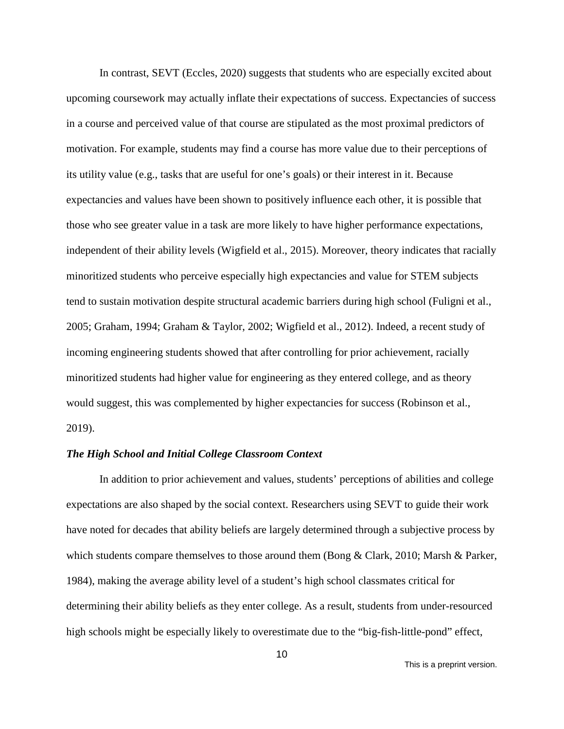In contrast, SEVT (Eccles, 2020) suggests that students who are especially excited about upcoming coursework may actually inflate their expectations of success. Expectancies of success in a course and perceived value of that course are stipulated as the most proximal predictors of motivation. For example, students may find a course has more value due to their perceptions of its utility value (e.g., tasks that are useful for one's goals) or their interest in it. Because expectancies and values have been shown to positively influence each other, it is possible that those who see greater value in a task are more likely to have higher performance expectations, independent of their ability levels (Wigfield et al., 2015). Moreover, theory indicates that racially minoritized students who perceive especially high expectancies and value for STEM subjects tend to sustain motivation despite structural academic barriers during high school (Fuligni et al., 2005; Graham, 1994; Graham & Taylor, 2002; Wigfield et al., 2012). Indeed, a recent study of incoming engineering students showed that after controlling for prior achievement, racially minoritized students had higher value for engineering as they entered college, and as theory would suggest, this was complemented by higher expectancies for success (Robinson et al., 2019).

#### *The High School and Initial College Classroom Context*

In addition to prior achievement and values, students' perceptions of abilities and college expectations are also shaped by the social context. Researchers using SEVT to guide their work have noted for decades that ability beliefs are largely determined through a subjective process by which students compare themselves to those around them (Bong & Clark, 2010; Marsh & Parker, 1984), making the average ability level of a student's high school classmates critical for determining their ability beliefs as they enter college. As a result, students from under-resourced high schools might be especially likely to overestimate due to the "big-fish-little-pond" effect,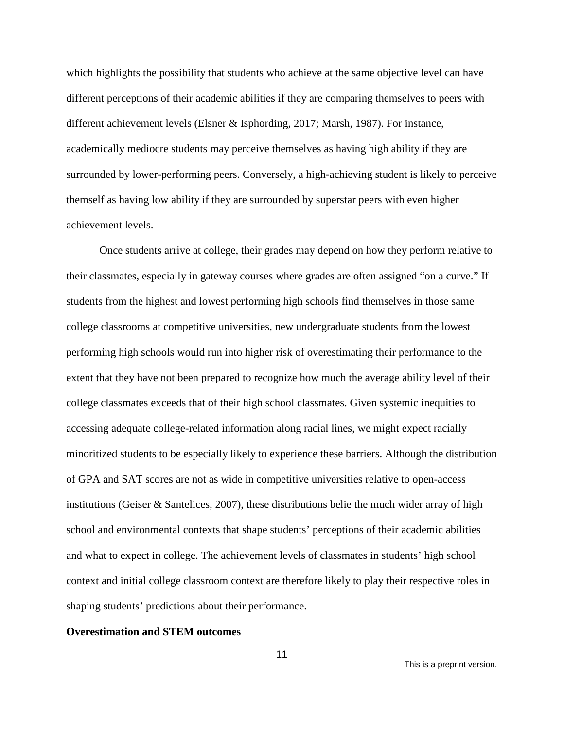which highlights the possibility that students who achieve at the same objective level can have different perceptions of their academic abilities if they are comparing themselves to peers with different achievement levels (Elsner & Isphording, 2017; Marsh, 1987). For instance, academically mediocre students may perceive themselves as having high ability if they are surrounded by lower-performing peers. Conversely, a high-achieving student is likely to perceive themself as having low ability if they are surrounded by superstar peers with even higher achievement levels.

Once students arrive at college, their grades may depend on how they perform relative to their classmates, especially in gateway courses where grades are often assigned "on a curve." If students from the highest and lowest performing high schools find themselves in those same college classrooms at competitive universities, new undergraduate students from the lowest performing high schools would run into higher risk of overestimating their performance to the extent that they have not been prepared to recognize how much the average ability level of their college classmates exceeds that of their high school classmates. Given systemic inequities to accessing adequate college-related information along racial lines, we might expect racially minoritized students to be especially likely to experience these barriers. Although the distribution of GPA and SAT scores are not as wide in competitive universities relative to open-access institutions (Geiser & Santelices, 2007), these distributions belie the much wider array of high school and environmental contexts that shape students' perceptions of their academic abilities and what to expect in college. The achievement levels of classmates in students' high school context and initial college classroom context are therefore likely to play their respective roles in shaping students' predictions about their performance.

#### **Overestimation and STEM outcomes**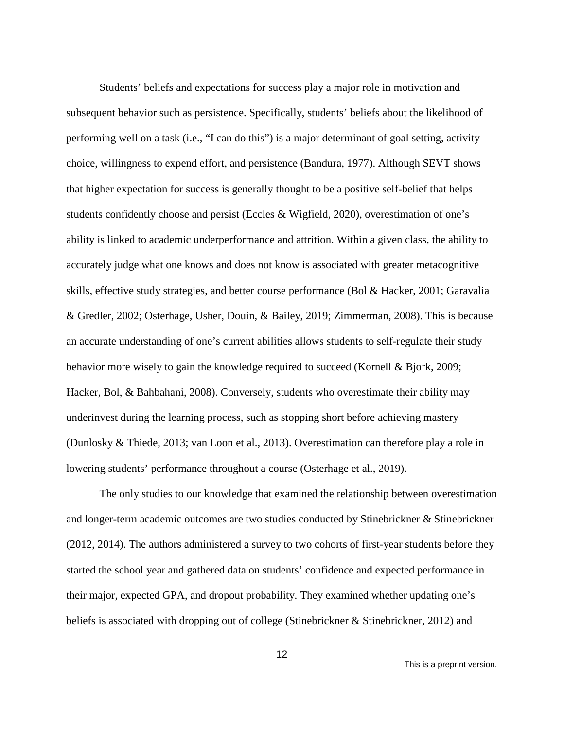Students' beliefs and expectations for success play a major role in motivation and subsequent behavior such as persistence. Specifically, students' beliefs about the likelihood of performing well on a task (i.e., "I can do this") is a major determinant of goal setting, activity choice, willingness to expend effort, and persistence (Bandura, 1977). Although SEVT shows that higher expectation for success is generally thought to be a positive self-belief that helps students confidently choose and persist (Eccles & Wigfield, 2020), overestimation of one's ability is linked to academic underperformance and attrition. Within a given class, the ability to accurately judge what one knows and does not know is associated with greater metacognitive skills, effective study strategies, and better course performance (Bol & Hacker, 2001; Garavalia & Gredler, 2002; Osterhage, Usher, Douin, & Bailey, 2019; Zimmerman, 2008). This is because an accurate understanding of one's current abilities allows students to self-regulate their study behavior more wisely to gain the knowledge required to succeed (Kornell & Bjork, 2009; Hacker, Bol, & Bahbahani, 2008). Conversely, students who overestimate their ability may underinvest during the learning process, such as stopping short before achieving mastery (Dunlosky & Thiede, 2013; van Loon et al., 2013). Overestimation can therefore play a role in lowering students' performance throughout a course (Osterhage et al., 2019).

The only studies to our knowledge that examined the relationship between overestimation and longer-term academic outcomes are two studies conducted by Stinebrickner & Stinebrickner (2012, 2014). The authors administered a survey to two cohorts of first-year students before they started the school year and gathered data on students' confidence and expected performance in their major, expected GPA, and dropout probability. They examined whether updating one's beliefs is associated with dropping out of college (Stinebrickner & Stinebrickner, 2012) and

This is a preprint version.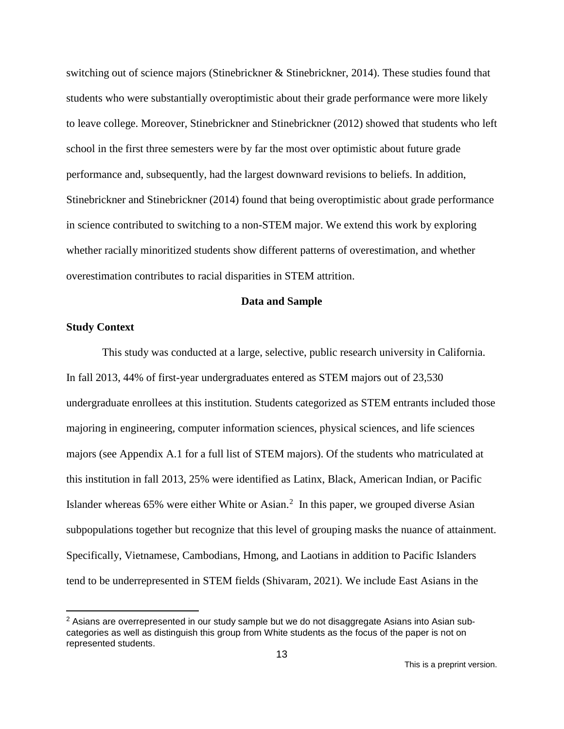switching out of science majors (Stinebrickner & Stinebrickner, 2014). These studies found that students who were substantially overoptimistic about their grade performance were more likely to leave college. Moreover, Stinebrickner and Stinebrickner (2012) showed that students who left school in the first three semesters were by far the most over optimistic about future grade performance and, subsequently, had the largest downward revisions to beliefs. In addition, Stinebrickner and Stinebrickner (2014) found that being overoptimistic about grade performance in science contributed to switching to a non-STEM major. We extend this work by exploring whether racially minoritized students show different patterns of overestimation, and whether overestimation contributes to racial disparities in STEM attrition.

#### **Data and Sample**

#### **Study Context**

This study was conducted at a large, selective, public research university in California. In fall 2013, 44% of first-year undergraduates entered as STEM majors out of 23,530 undergraduate enrollees at this institution. Students categorized as STEM entrants included those majoring in engineering, computer information sciences, physical sciences, and life sciences majors (see Appendix A.1 for a full list of STEM majors). Of the students who matriculated at this institution in fall 2013, 25% were identified as Latinx, Black, American Indian, or Pacific Islander whereas  $65\%$  were either White or Asian.<sup>[2](#page-13-0)</sup> In this paper, we grouped diverse Asian subpopulations together but recognize that this level of grouping masks the nuance of attainment. Specifically, Vietnamese, Cambodians, Hmong, and Laotians in addition to Pacific Islanders tend to be underrepresented in STEM fields (Shivaram, 2021). We include East Asians in the

<span id="page-13-0"></span> $2$  Asians are overrepresented in our study sample but we do not disaggregate Asians into Asian subcategories as well as distinguish this group from White students as the focus of the paper is not on represented students.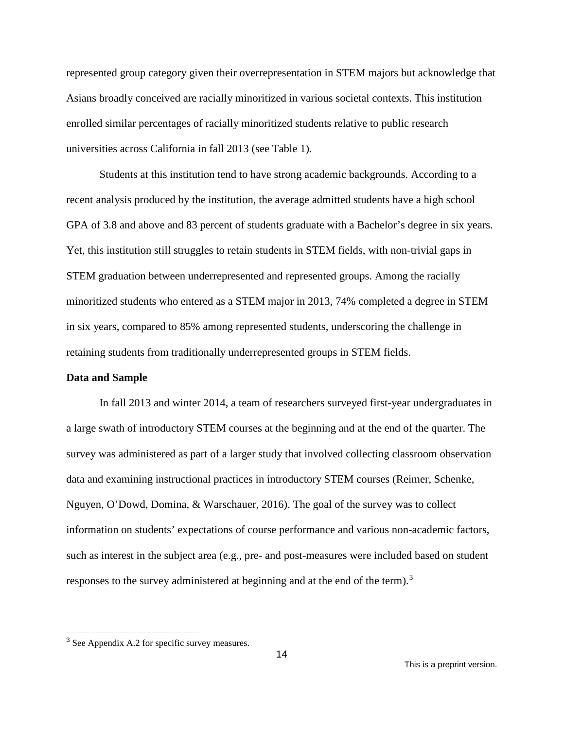represented group category given their overrepresentation in STEM majors but acknowledge that Asians broadly conceived are racially minoritized in various societal contexts. This institution enrolled similar percentages of racially minoritized students relative to public research universities across California in fall 2013 (see Table 1).

Students at this institution tend to have strong academic backgrounds. According to a recent analysis produced by the institution, the average admitted students have a high school GPA of 3.8 and above and 83 percent of students graduate with a Bachelor's degree in six years. Yet, this institution still struggles to retain students in STEM fields, with non-trivial gaps in STEM graduation between underrepresented and represented groups. Among the racially minoritized students who entered as a STEM major in 2013, 74% completed a degree in STEM in six years, compared to 85% among represented students, underscoring the challenge in retaining students from traditionally underrepresented groups in STEM fields.

#### **Data and Sample**

In fall 2013 and winter 2014, a team of researchers surveyed first-year undergraduates in a large swath of introductory STEM courses at the beginning and at the end of the quarter. The survey was administered as part of a larger study that involved collecting classroom observation data and examining instructional practices in introductory STEM courses (Reimer, Schenke, Nguyen, O'Dowd, Domina, & Warschauer, 2016). The goal of the survey was to collect information on students' expectations of course performance and various non-academic factors, such as interest in the subject area (e.g., pre- and post-measures were included based on student responses to the survey administered at beginning and at the end of the term).<sup>[3](#page-14-0)</sup>

<span id="page-14-0"></span> <sup>3</sup> See Appendix A.2 for specific survey measures.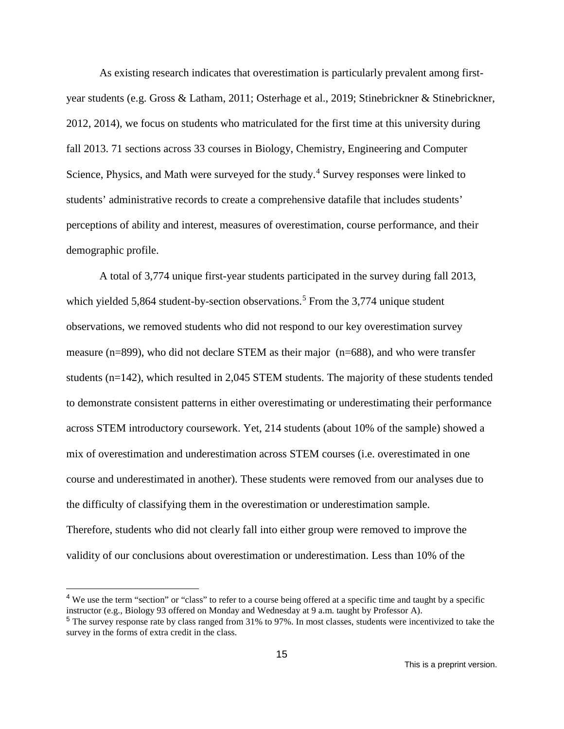As existing research indicates that overestimation is particularly prevalent among firstyear students (e.g. Gross & Latham, 2011; Osterhage et al., 2019; Stinebrickner & Stinebrickner, 2012, 2014), we focus on students who matriculated for the first time at this university during fall 2013. 71 sections across 33 courses in Biology, Chemistry, Engineering and Computer Science, Physics, and Math were surveyed for the study.<sup>[4](#page-15-0)</sup> Survey responses were linked to students' administrative records to create a comprehensive datafile that includes students' perceptions of ability and interest, measures of overestimation, course performance, and their demographic profile.

A total of 3,774 unique first-year students participated in the survey during fall 2013, which yielded [5](#page-15-1),864 student-by-section observations.<sup>5</sup> From the 3,774 unique student observations, we removed students who did not respond to our key overestimation survey measure (n=899), who did not declare STEM as their major (n=688), and who were transfer students (n=142), which resulted in 2,045 STEM students. The majority of these students tended to demonstrate consistent patterns in either overestimating or underestimating their performance across STEM introductory coursework. Yet, 214 students (about 10% of the sample) showed a mix of overestimation and underestimation across STEM courses (i.e. overestimated in one course and underestimated in another). These students were removed from our analyses due to the difficulty of classifying them in the overestimation or underestimation sample. Therefore, students who did not clearly fall into either group were removed to improve the validity of our conclusions about overestimation or underestimation. Less than 10% of the

<span id="page-15-0"></span><sup>&</sup>lt;sup>4</sup> We use the term "section" or "class" to refer to a course being offered at a specific time and taught by a specific instructor (e.g., Biology 93 offered on Monday and Wednesday at 9 a.m. taught by Professor A).

<span id="page-15-1"></span><sup>5</sup> The survey response rate by class ranged from 31% to 97%. In most classes, students were incentivized to take the survey in the forms of extra credit in the class.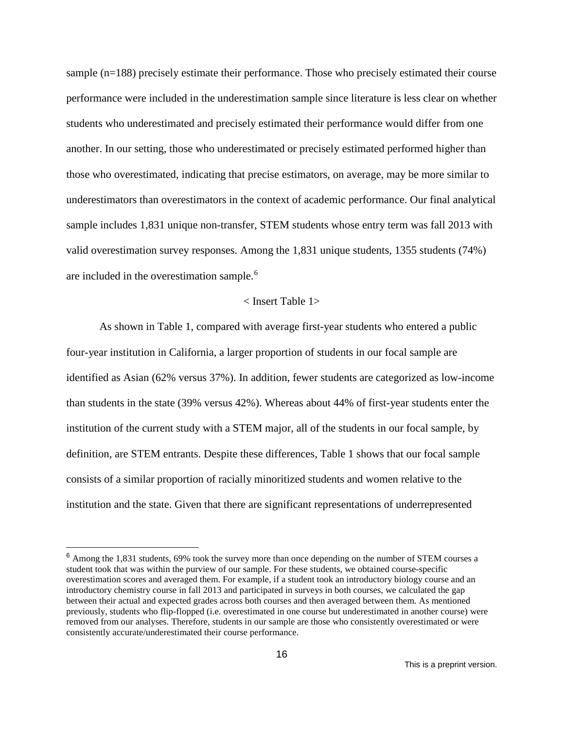sample (n=188) precisely estimate their performance. Those who precisely estimated their course performance were included in the underestimation sample since literature is less clear on whether students who underestimated and precisely estimated their performance would differ from one another. In our setting, those who underestimated or precisely estimated performed higher than those who overestimated, indicating that precise estimators, on average, may be more similar to underestimators than overestimators in the context of academic performance. Our final analytical sample includes 1,831 unique non-transfer, STEM students whose entry term was fall 2013 with valid overestimation survey responses. Among the 1,831 unique students, 1355 students (74%) are included in the overestimation sample.<sup>[6](#page-16-0)</sup>

#### < Insert Table 1>

As shown in Table 1, compared with average first-year students who entered a public four-year institution in California, a larger proportion of students in our focal sample are identified as Asian (62% versus 37%). In addition, fewer students are categorized as low-income than students in the state (39% versus 42%). Whereas about 44% of first-year students enter the institution of the current study with a STEM major, all of the students in our focal sample, by definition, are STEM entrants. Despite these differences, Table 1 shows that our focal sample consists of a similar proportion of racially minoritized students and women relative to the institution and the state. Given that there are significant representations of underrepresented

<span id="page-16-0"></span> <sup>6</sup> Among the 1,831 students, 69% took the survey more than once depending on the number of STEM courses a student took that was within the purview of our sample. For these students, we obtained course-specific overestimation scores and averaged them. For example, if a student took an introductory biology course and an introductory chemistry course in fall 2013 and participated in surveys in both courses, we calculated the gap between their actual and expected grades across both courses and then averaged between them. As mentioned previously, students who flip-flopped (i.e. overestimated in one course but underestimated in another course) were removed from our analyses. Therefore, students in our sample are those who consistently overestimated or were consistently accurate/underestimated their course performance.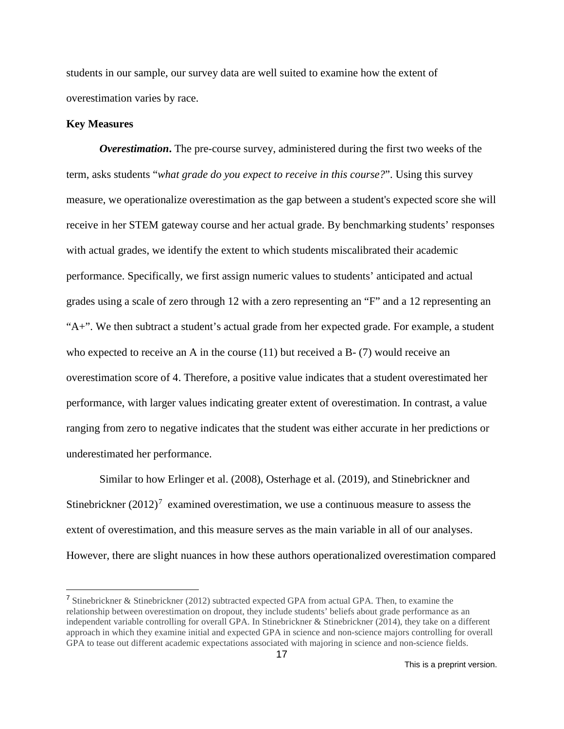students in our sample, our survey data are well suited to examine how the extent of overestimation varies by race.

#### **Key Measures**

*Overestimation***.** The pre-course survey, administered during the first two weeks of the term, asks students "*what grade do you expect to receive in this course?*". Using this survey measure, we operationalize overestimation as the gap between a student's expected score she will receive in her STEM gateway course and her actual grade. By benchmarking students' responses with actual grades, we identify the extent to which students miscalibrated their academic performance. Specifically, we first assign numeric values to students' anticipated and actual grades using a scale of zero through 12 with a zero representing an "F" and a 12 representing an  $A^{\dagger}$ . We then subtract a student's actual grade from her expected grade. For example, a student who expected to receive an A in the course  $(11)$  but received a B- $(7)$  would receive an overestimation score of 4. Therefore, a positive value indicates that a student overestimated her performance, with larger values indicating greater extent of overestimation. In contrast, a value ranging from zero to negative indicates that the student was either accurate in her predictions or underestimated her performance.

Similar to how Erlinger et al. (2008), Osterhage et al. (2019), and Stinebrickner and Stinebrickner  $(2012)^7$  $(2012)^7$  examined overestimation, we use a continuous measure to assess the extent of overestimation, and this measure serves as the main variable in all of our analyses. However, there are slight nuances in how these authors operationalized overestimation compared

<span id="page-17-0"></span><sup>&</sup>lt;sup>7</sup> Stinebrickner & Stinebrickner (2012) subtracted expected GPA from actual GPA. Then, to examine the relationship between overestimation on dropout, they include students' beliefs about grade performance as an independent variable controlling for overall GPA. In Stinebrickner & Stinebrickner (2014), they take on a different approach in which they examine initial and expected GPA in science and non-science majors controlling for overall GPA to tease out different academic expectations associated with majoring in science and non-science fields.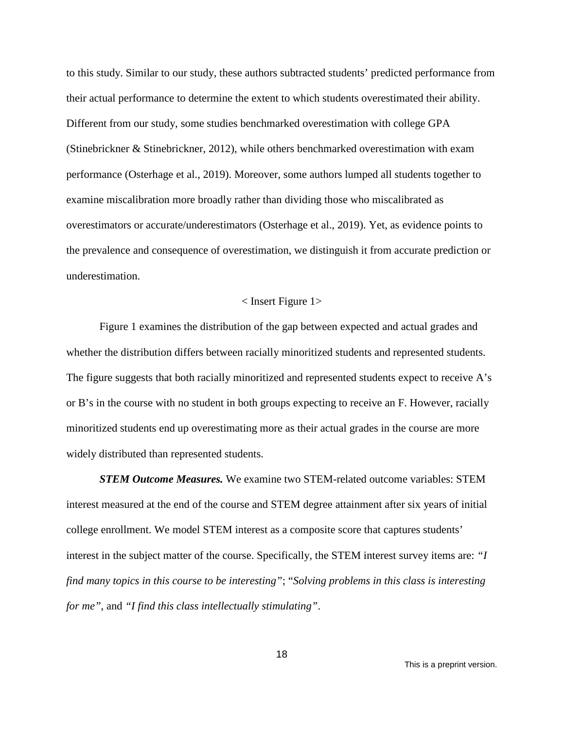to this study. Similar to our study, these authors subtracted students' predicted performance from their actual performance to determine the extent to which students overestimated their ability. Different from our study, some studies benchmarked overestimation with college GPA (Stinebrickner & Stinebrickner, 2012), while others benchmarked overestimation with exam performance (Osterhage et al., 2019). Moreover, some authors lumped all students together to examine miscalibration more broadly rather than dividing those who miscalibrated as overestimators or accurate/underestimators (Osterhage et al., 2019). Yet, as evidence points to the prevalence and consequence of overestimation, we distinguish it from accurate prediction or underestimation.

#### < Insert Figure 1>

Figure 1 examines the distribution of the gap between expected and actual grades and whether the distribution differs between racially minoritized students and represented students. The figure suggests that both racially minoritized and represented students expect to receive A's or B's in the course with no student in both groups expecting to receive an F. However, racially minoritized students end up overestimating more as their actual grades in the course are more widely distributed than represented students.

*STEM Outcome Measures.* We examine two STEM-related outcome variables: STEM interest measured at the end of the course and STEM degree attainment after six years of initial college enrollment. We model STEM interest as a composite score that captures students' interest in the subject matter of the course. Specifically, the STEM interest survey items are: *"I find many topics in this course to be interesting"*; "*Solving problems in this class is interesting for me"*, and *"I find this class intellectually stimulating"*.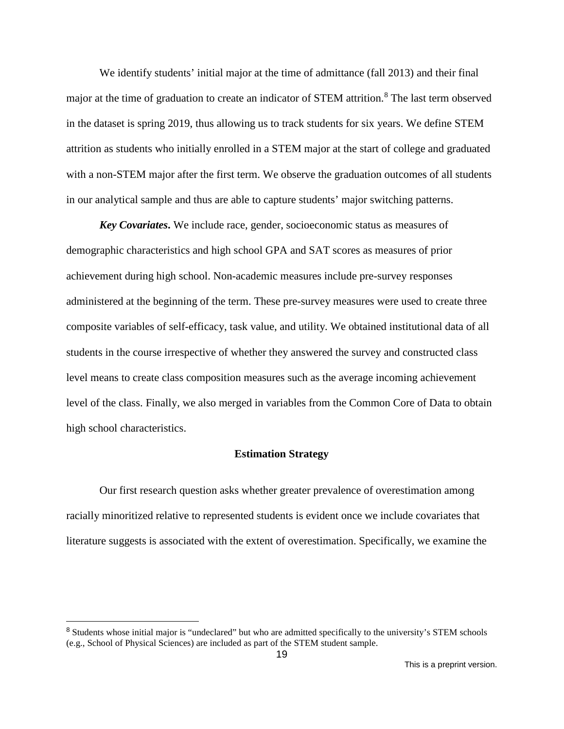We identify students' initial major at the time of admittance (fall 2013) and their final major at the time of graduation to create an indicator of STEM attrition.<sup>[8](#page-19-0)</sup> The last term observed in the dataset is spring 2019, thus allowing us to track students for six years. We define STEM attrition as students who initially enrolled in a STEM major at the start of college and graduated with a non-STEM major after the first term. We observe the graduation outcomes of all students in our analytical sample and thus are able to capture students' major switching patterns.

*Key Covariates***.** We include race, gender, socioeconomic status as measures of demographic characteristics and high school GPA and SAT scores as measures of prior achievement during high school. Non-academic measures include pre-survey responses administered at the beginning of the term. These pre-survey measures were used to create three composite variables of self-efficacy, task value, and utility. We obtained institutional data of all students in the course irrespective of whether they answered the survey and constructed class level means to create class composition measures such as the average incoming achievement level of the class. Finally, we also merged in variables from the Common Core of Data to obtain high school characteristics.

#### **Estimation Strategy**

Our first research question asks whether greater prevalence of overestimation among racially minoritized relative to represented students is evident once we include covariates that literature suggests is associated with the extent of overestimation. Specifically, we examine the

<span id="page-19-0"></span><sup>&</sup>lt;sup>8</sup> Students whose initial major is "undeclared" but who are admitted specifically to the university's STEM schools (e.g., School of Physical Sciences) are included as part of the STEM student sample.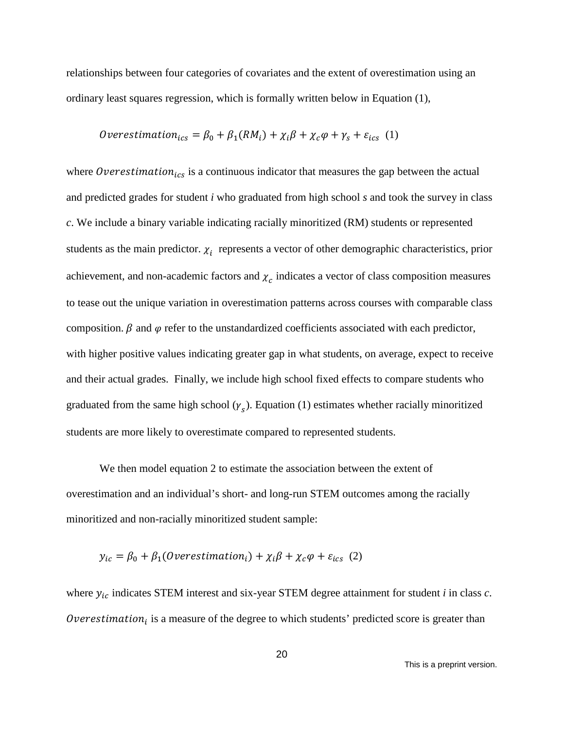relationships between four categories of covariates and the extent of overestimation using an ordinary least squares regression, which is formally written below in Equation (1),

*Overestimation<sub>ics</sub>* = 
$$
\beta_0 + \beta_1 (RM_i) + \chi_i \beta + \chi_c \varphi + \gamma_s + \varepsilon_{ics}
$$
 (1)

where Overestimation<sub>ics</sub> is a continuous indicator that measures the gap between the actual and predicted grades for student *i* who graduated from high school *s* and took the survey in class *c*. We include a binary variable indicating racially minoritized (RM) students or represented students as the main predictor.  $\chi_i$  represents a vector of other demographic characteristics, prior achievement, and non-academic factors and  $\chi_c$  indicates a vector of class composition measures to tease out the unique variation in overestimation patterns across courses with comparable class composition.  $\beta$  and  $\varphi$  refer to the unstandardized coefficients associated with each predictor, with higher positive values indicating greater gap in what students, on average, expect to receive and their actual grades. Finally, we include high school fixed effects to compare students who graduated from the same high school  $(\gamma_s)$ . Equation (1) estimates whether racially minoritized students are more likely to overestimate compared to represented students.

We then model equation 2 to estimate the association between the extent of overestimation and an individual's short- and long-run STEM outcomes among the racially minoritized and non-racially minoritized student sample:

$$
y_{ic} = \beta_0 + \beta_1(Overestimation_i) + \chi_i \beta + \chi_c \varphi + \varepsilon_{ics} \tag{2}
$$

where  $y_{ic}$  indicates STEM interest and six-year STEM degree attainment for student *i* in class *c*. Overestimation<sub>i</sub> is a measure of the degree to which students' predicted score is greater than

This is a preprint version.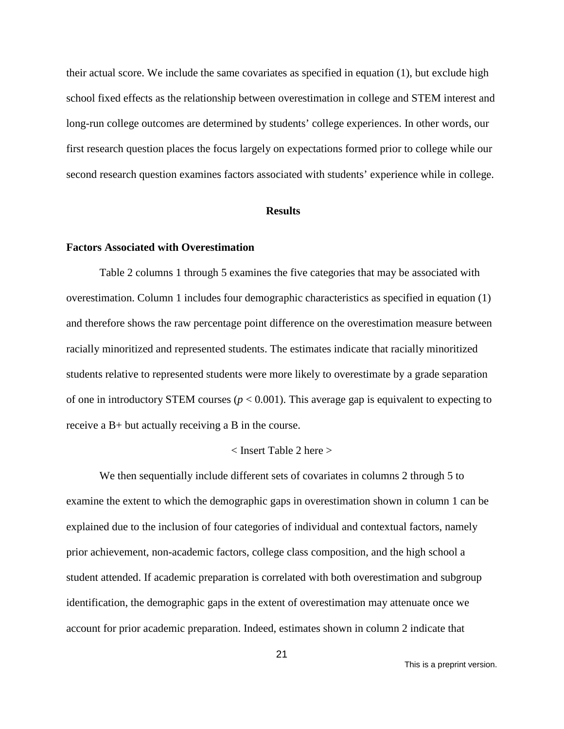their actual score. We include the same covariates as specified in equation (1), but exclude high school fixed effects as the relationship between overestimation in college and STEM interest and long-run college outcomes are determined by students' college experiences. In other words, our first research question places the focus largely on expectations formed prior to college while our second research question examines factors associated with students' experience while in college.

#### **Results**

#### **Factors Associated with Overestimation**

Table 2 columns 1 through 5 examines the five categories that may be associated with overestimation. Column 1 includes four demographic characteristics as specified in equation (1) and therefore shows the raw percentage point difference on the overestimation measure between racially minoritized and represented students. The estimates indicate that racially minoritized students relative to represented students were more likely to overestimate by a grade separation of one in introductory STEM courses ( $p < 0.001$ ). This average gap is equivalent to expecting to receive a B+ but actually receiving a B in the course.

#### < Insert Table 2 here >

We then sequentially include different sets of covariates in columns 2 through 5 to examine the extent to which the demographic gaps in overestimation shown in column 1 can be explained due to the inclusion of four categories of individual and contextual factors, namely prior achievement, non-academic factors, college class composition, and the high school a student attended. If academic preparation is correlated with both overestimation and subgroup identification, the demographic gaps in the extent of overestimation may attenuate once we account for prior academic preparation. Indeed, estimates shown in column 2 indicate that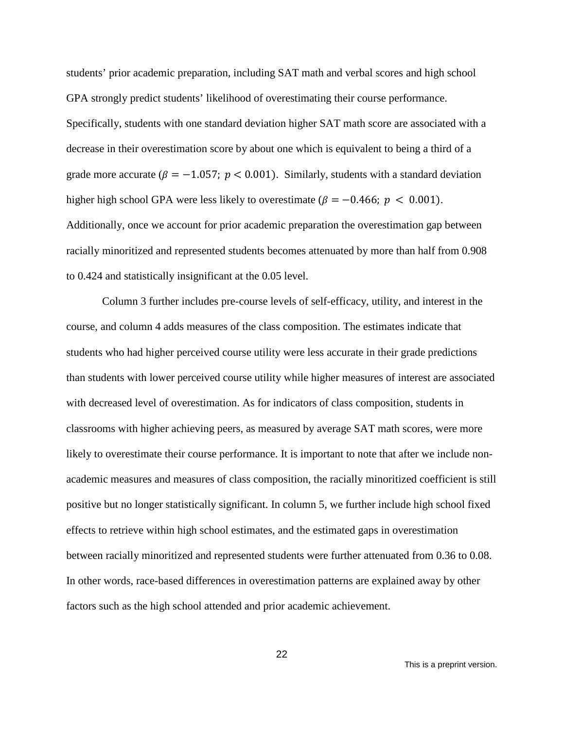students' prior academic preparation, including SAT math and verbal scores and high school GPA strongly predict students' likelihood of overestimating their course performance. Specifically, students with one standard deviation higher SAT math score are associated with a decrease in their overestimation score by about one which is equivalent to being a third of a grade more accurate ( $\beta = -1.057$ ;  $p < 0.001$ ). Similarly, students with a standard deviation higher high school GPA were less likely to overestimate ( $\beta = -0.466$ ;  $p < 0.001$ ). Additionally, once we account for prior academic preparation the overestimation gap between racially minoritized and represented students becomes attenuated by more than half from 0.908 to 0.424 and statistically insignificant at the 0.05 level.

Column 3 further includes pre-course levels of self-efficacy, utility, and interest in the course, and column 4 adds measures of the class composition. The estimates indicate that students who had higher perceived course utility were less accurate in their grade predictions than students with lower perceived course utility while higher measures of interest are associated with decreased level of overestimation. As for indicators of class composition, students in classrooms with higher achieving peers, as measured by average SAT math scores, were more likely to overestimate their course performance. It is important to note that after we include nonacademic measures and measures of class composition, the racially minoritized coefficient is still positive but no longer statistically significant. In column 5, we further include high school fixed effects to retrieve within high school estimates, and the estimated gaps in overestimation between racially minoritized and represented students were further attenuated from 0.36 to 0.08. In other words, race-based differences in overestimation patterns are explained away by other factors such as the high school attended and prior academic achievement.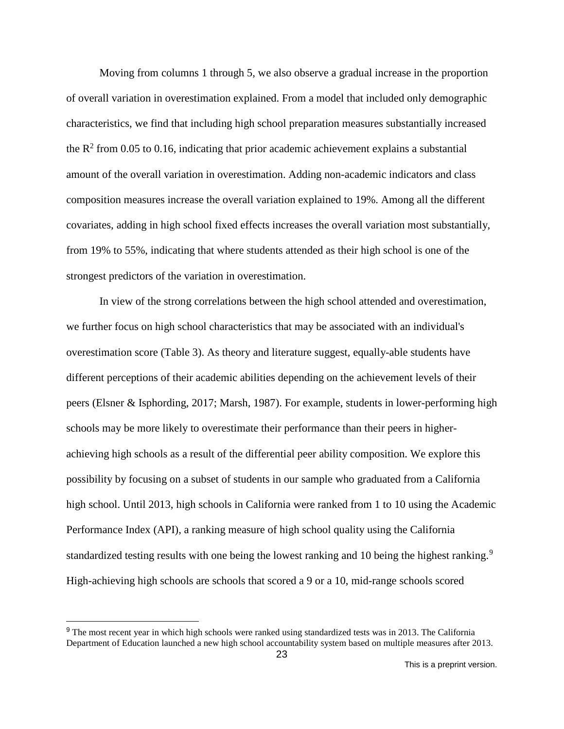Moving from columns 1 through 5, we also observe a gradual increase in the proportion of overall variation in overestimation explained. From a model that included only demographic characteristics, we find that including high school preparation measures substantially increased the  $R^2$  from 0.05 to 0.16, indicating that prior academic achievement explains a substantial amount of the overall variation in overestimation. Adding non-academic indicators and class composition measures increase the overall variation explained to 19%. Among all the different covariates, adding in high school fixed effects increases the overall variation most substantially, from 19% to 55%, indicating that where students attended as their high school is one of the strongest predictors of the variation in overestimation.

In view of the strong correlations between the high school attended and overestimation, we further focus on high school characteristics that may be associated with an individual's overestimation score (Table 3). As theory and literature suggest, equally-able students have different perceptions of their academic abilities depending on the achievement levels of their peers (Elsner & Isphording, 2017; Marsh, 1987). For example, students in lower-performing high schools may be more likely to overestimate their performance than their peers in higherachieving high schools as a result of the differential peer ability composition. We explore this possibility by focusing on a subset of students in our sample who graduated from a California high school. Until 2013, high schools in California were ranked from 1 to 10 using the Academic Performance Index (API), a ranking measure of high school quality using the California standardized testing results with one being the lowest ranking and 10 being the highest ranking.<sup>[9](#page-23-0)</sup> High-achieving high schools are schools that scored a 9 or a 10, mid-range schools scored

<span id="page-23-0"></span><sup>&</sup>lt;sup>9</sup> The most recent year in which high schools were ranked using standardized tests was in 2013. The California Department of Education launched a new high school accountability system based on multiple measures after 2013.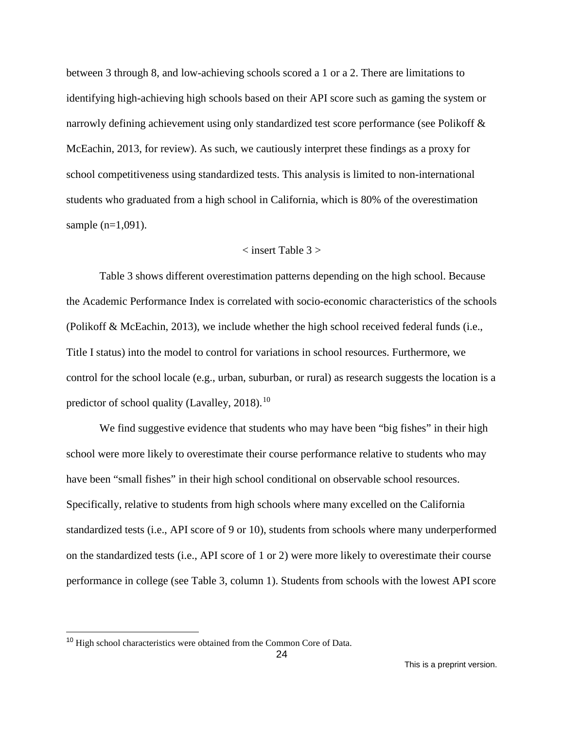between 3 through 8, and low-achieving schools scored a 1 or a 2. There are limitations to identifying high-achieving high schools based on their API score such as gaming the system or narrowly defining achievement using only standardized test score performance (see Polikoff & McEachin, 2013, for review). As such, we cautiously interpret these findings as a proxy for school competitiveness using standardized tests. This analysis is limited to non-international students who graduated from a high school in California, which is 80% of the overestimation sample (n=1,091).

#### $\langle$  insert Table 3  $>$

Table 3 shows different overestimation patterns depending on the high school. Because the Academic Performance Index is correlated with socio-economic characteristics of the schools (Polikoff & McEachin, 2013), we include whether the high school received federal funds (i.e., Title I status) into the model to control for variations in school resources. Furthermore, we control for the school locale (e.g., urban, suburban, or rural) as research suggests the location is a predictor of school quality (Lavalley,  $2018$ ).<sup>[10](#page-24-0)</sup>

We find suggestive evidence that students who may have been "big fishes" in their high school were more likely to overestimate their course performance relative to students who may have been "small fishes" in their high school conditional on observable school resources. Specifically, relative to students from high schools where many excelled on the California standardized tests (i.e., API score of 9 or 10), students from schools where many underperformed on the standardized tests (i.e., API score of 1 or 2) were more likely to overestimate their course performance in college (see Table 3, column 1). Students from schools with the lowest API score

<span id="page-24-0"></span><sup>&</sup>lt;sup>10</sup> High school characteristics were obtained from the Common Core of Data.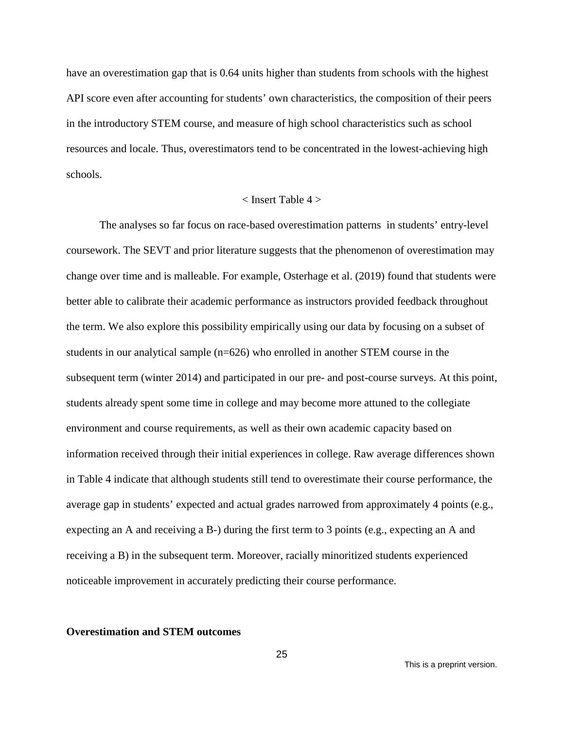have an overestimation gap that is 0.64 units higher than students from schools with the highest API score even after accounting for students' own characteristics, the composition of their peers in the introductory STEM course, and measure of high school characteristics such as school resources and locale. Thus, overestimators tend to be concentrated in the lowest-achieving high schools.

#### $\langle$  Insert Table 4  $>$

The analyses so far focus on race-based overestimation patterns in students' entry-level coursework. The SEVT and prior literature suggests that the phenomenon of overestimation may change over time and is malleable. For example, Osterhage et al. (2019) found that students were better able to calibrate their academic performance as instructors provided feedback throughout the term. We also explore this possibility empirically using our data by focusing on a subset of students in our analytical sample (n=626) who enrolled in another STEM course in the subsequent term (winter 2014) and participated in our pre- and post-course surveys. At this point, students already spent some time in college and may become more attuned to the collegiate environment and course requirements, as well as their own academic capacity based on information received through their initial experiences in college. Raw average differences shown in Table 4 indicate that although students still tend to overestimate their course performance, the average gap in students' expected and actual grades narrowed from approximately 4 points (e.g., expecting an A and receiving a B-) during the first term to 3 points (e.g., expecting an A and receiving a B) in the subsequent term. Moreover, racially minoritized students experienced noticeable improvement in accurately predicting their course performance.

#### **Overestimation and STEM outcomes**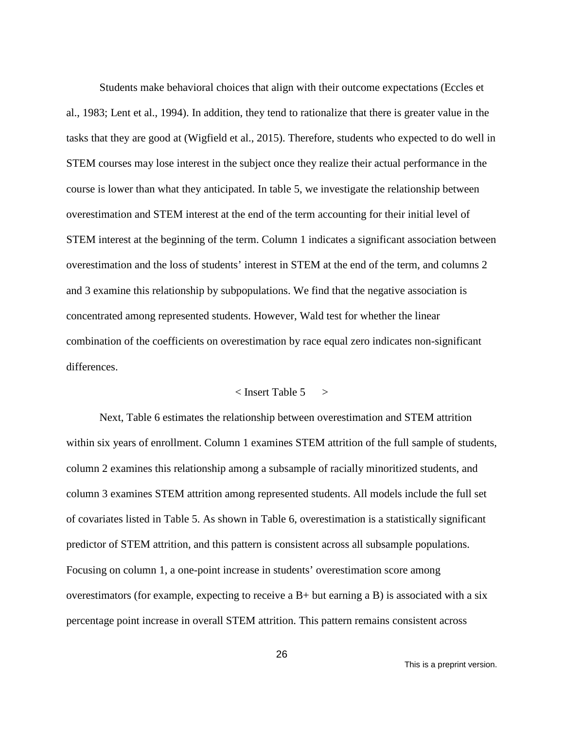Students make behavioral choices that align with their outcome expectations (Eccles et al., 1983; Lent et al., 1994). In addition, they tend to rationalize that there is greater value in the tasks that they are good at (Wigfield et al., 2015). Therefore, students who expected to do well in STEM courses may lose interest in the subject once they realize their actual performance in the course is lower than what they anticipated. In table 5, we investigate the relationship between overestimation and STEM interest at the end of the term accounting for their initial level of STEM interest at the beginning of the term. Column 1 indicates a significant association between overestimation and the loss of students' interest in STEM at the end of the term, and columns 2 and 3 examine this relationship by subpopulations. We find that the negative association is concentrated among represented students. However, Wald test for whether the linear combination of the coefficients on overestimation by race equal zero indicates non-significant differences.

## $\langle$  Insert Table 5  $\rangle$

Next, Table 6 estimates the relationship between overestimation and STEM attrition within six years of enrollment. Column 1 examines STEM attrition of the full sample of students, column 2 examines this relationship among a subsample of racially minoritized students, and column 3 examines STEM attrition among represented students. All models include the full set of covariates listed in Table 5. As shown in Table 6, overestimation is a statistically significant predictor of STEM attrition, and this pattern is consistent across all subsample populations. Focusing on column 1, a one-point increase in students' overestimation score among overestimators (for example, expecting to receive a  $B+$  but earning a B) is associated with a six percentage point increase in overall STEM attrition. This pattern remains consistent across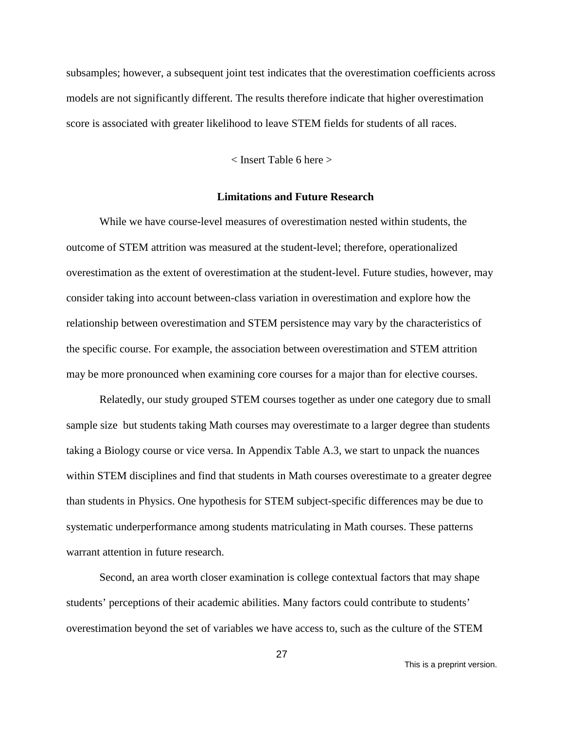subsamples; however, a subsequent joint test indicates that the overestimation coefficients across models are not significantly different. The results therefore indicate that higher overestimation score is associated with greater likelihood to leave STEM fields for students of all races.

< Insert Table 6 here >

#### **Limitations and Future Research**

While we have course-level measures of overestimation nested within students, the outcome of STEM attrition was measured at the student-level; therefore, operationalized overestimation as the extent of overestimation at the student-level. Future studies, however, may consider taking into account between-class variation in overestimation and explore how the relationship between overestimation and STEM persistence may vary by the characteristics of the specific course. For example, the association between overestimation and STEM attrition may be more pronounced when examining core courses for a major than for elective courses.

Relatedly, our study grouped STEM courses together as under one category due to small sample size but students taking Math courses may overestimate to a larger degree than students taking a Biology course or vice versa. In Appendix Table A.3, we start to unpack the nuances within STEM disciplines and find that students in Math courses overestimate to a greater degree than students in Physics. One hypothesis for STEM subject-specific differences may be due to systematic underperformance among students matriculating in Math courses. These patterns warrant attention in future research.

Second, an area worth closer examination is college contextual factors that may shape students' perceptions of their academic abilities. Many factors could contribute to students' overestimation beyond the set of variables we have access to, such as the culture of the STEM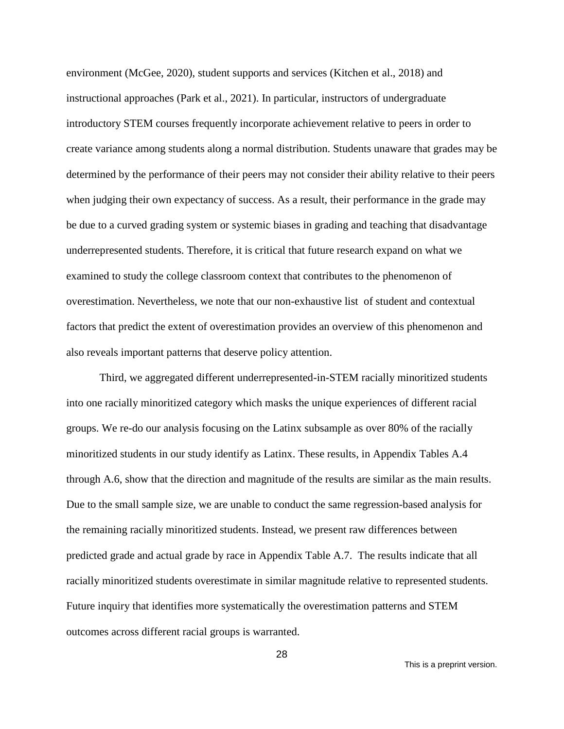environment (McGee, 2020), student supports and services (Kitchen et al., 2018) and instructional approaches (Park et al., 2021). In particular, instructors of undergraduate introductory STEM courses frequently incorporate achievement relative to peers in order to create variance among students along a normal distribution. Students unaware that grades may be determined by the performance of their peers may not consider their ability relative to their peers when judging their own expectancy of success. As a result, their performance in the grade may be due to a curved grading system or systemic biases in grading and teaching that disadvantage underrepresented students. Therefore, it is critical that future research expand on what we examined to study the college classroom context that contributes to the phenomenon of overestimation. Nevertheless, we note that our non-exhaustive list of student and contextual factors that predict the extent of overestimation provides an overview of this phenomenon and also reveals important patterns that deserve policy attention.

Third, we aggregated different underrepresented-in-STEM racially minoritized students into one racially minoritized category which masks the unique experiences of different racial groups. We re-do our analysis focusing on the Latinx subsample as over 80% of the racially minoritized students in our study identify as Latinx. These results, in Appendix Tables A.4 through A.6, show that the direction and magnitude of the results are similar as the main results. Due to the small sample size, we are unable to conduct the same regression-based analysis for the remaining racially minoritized students. Instead, we present raw differences between predicted grade and actual grade by race in Appendix Table A.7. The results indicate that all racially minoritized students overestimate in similar magnitude relative to represented students. Future inquiry that identifies more systematically the overestimation patterns and STEM outcomes across different racial groups is warranted.

This is a preprint version.

28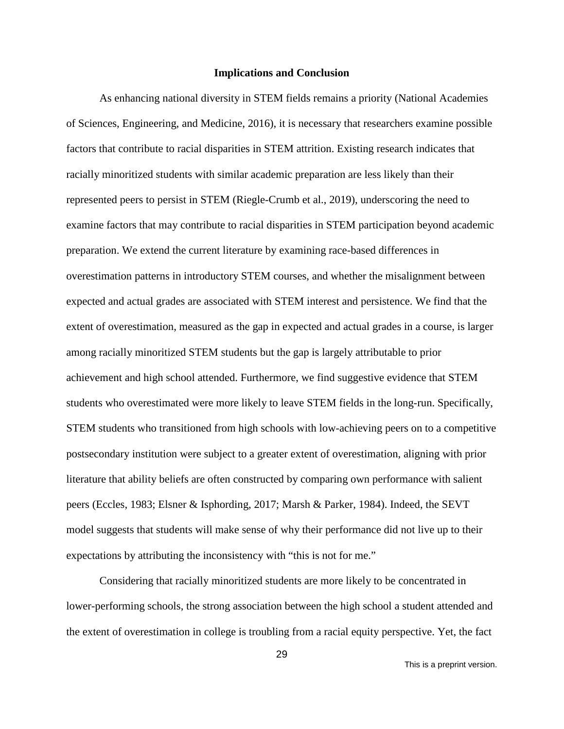#### **Implications and Conclusion**

As enhancing national diversity in STEM fields remains a priority (National Academies of Sciences, Engineering, and Medicine, 2016), it is necessary that researchers examine possible factors that contribute to racial disparities in STEM attrition. Existing research indicates that racially minoritized students with similar academic preparation are less likely than their represented peers to persist in STEM (Riegle-Crumb et al., 2019), underscoring the need to examine factors that may contribute to racial disparities in STEM participation beyond academic preparation. We extend the current literature by examining race-based differences in overestimation patterns in introductory STEM courses, and whether the misalignment between expected and actual grades are associated with STEM interest and persistence. We find that the extent of overestimation, measured as the gap in expected and actual grades in a course, is larger among racially minoritized STEM students but the gap is largely attributable to prior achievement and high school attended. Furthermore, we find suggestive evidence that STEM students who overestimated were more likely to leave STEM fields in the long-run. Specifically, STEM students who transitioned from high schools with low-achieving peers on to a competitive postsecondary institution were subject to a greater extent of overestimation, aligning with prior literature that ability beliefs are often constructed by comparing own performance with salient peers (Eccles, 1983; Elsner & Isphording, 2017; Marsh & Parker, 1984). Indeed, the SEVT model suggests that students will make sense of why their performance did not live up to their expectations by attributing the inconsistency with "this is not for me."

Considering that racially minoritized students are more likely to be concentrated in lower-performing schools, the strong association between the high school a student attended and the extent of overestimation in college is troubling from a racial equity perspective. Yet, the fact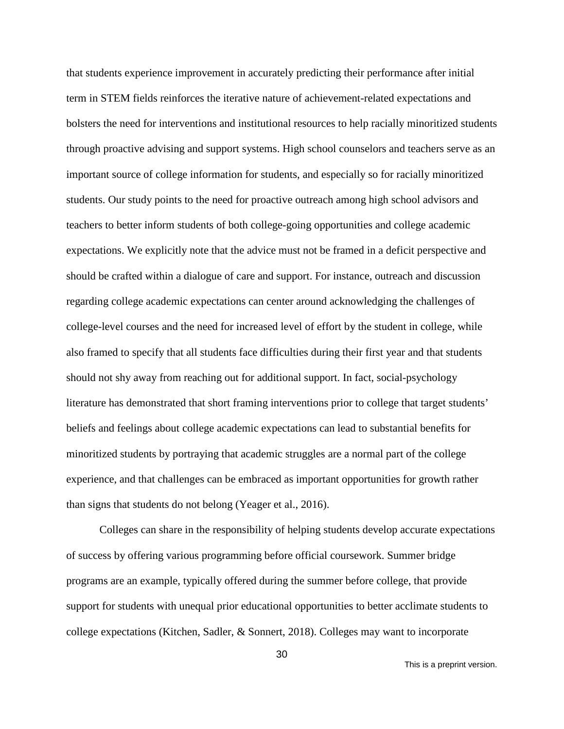that students experience improvement in accurately predicting their performance after initial term in STEM fields reinforces the iterative nature of achievement-related expectations and bolsters the need for interventions and institutional resources to help racially minoritized students through proactive advising and support systems. High school counselors and teachers serve as an important source of college information for students, and especially so for racially minoritized students. Our study points to the need for proactive outreach among high school advisors and teachers to better inform students of both college-going opportunities and college academic expectations. We explicitly note that the advice must not be framed in a deficit perspective and should be crafted within a dialogue of care and support. For instance, outreach and discussion regarding college academic expectations can center around acknowledging the challenges of college-level courses and the need for increased level of effort by the student in college, while also framed to specify that all students face difficulties during their first year and that students should not shy away from reaching out for additional support. In fact, social-psychology literature has demonstrated that short framing interventions prior to college that target students' beliefs and feelings about college academic expectations can lead to substantial benefits for minoritized students by portraying that academic struggles are a normal part of the college experience, and that challenges can be embraced as important opportunities for growth rather than signs that students do not belong (Yeager et al., 2016).

Colleges can share in the responsibility of helping students develop accurate expectations of success by offering various programming before official coursework. Summer bridge programs are an example, typically offered during the summer before college, that provide support for students with unequal prior educational opportunities to better acclimate students to college expectations (Kitchen, Sadler, & Sonnert, 2018). Colleges may want to incorporate

This is a preprint version.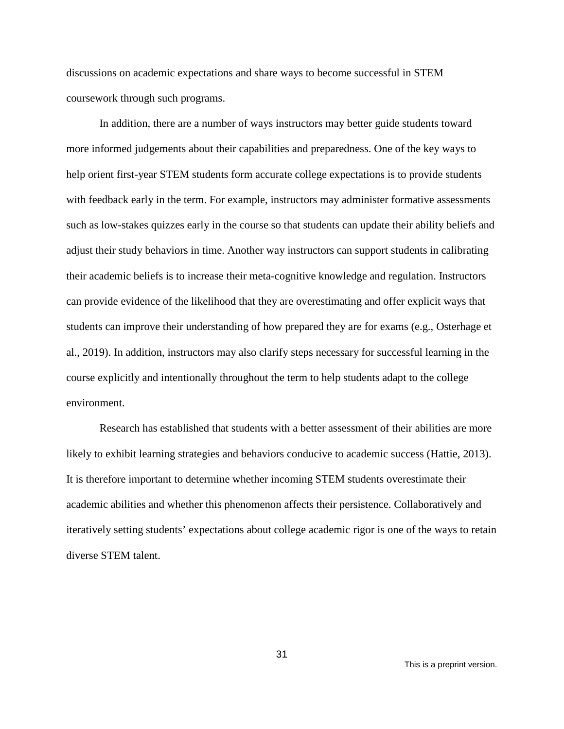discussions on academic expectations and share ways to become successful in STEM coursework through such programs.

In addition, there are a number of ways instructors may better guide students toward more informed judgements about their capabilities and preparedness. One of the key ways to help orient first-year STEM students form accurate college expectations is to provide students with feedback early in the term. For example, instructors may administer formative assessments such as low-stakes quizzes early in the course so that students can update their ability beliefs and adjust their study behaviors in time. Another way instructors can support students in calibrating their academic beliefs is to increase their meta-cognitive knowledge and regulation. Instructors can provide evidence of the likelihood that they are overestimating and offer explicit ways that students can improve their understanding of how prepared they are for exams (e.g., Osterhage et al., 2019). In addition, instructors may also clarify steps necessary for successful learning in the course explicitly and intentionally throughout the term to help students adapt to the college environment.

Research has established that students with a better assessment of their abilities are more likely to exhibit learning strategies and behaviors conducive to academic success (Hattie, 2013). It is therefore important to determine whether incoming STEM students overestimate their academic abilities and whether this phenomenon affects their persistence. Collaboratively and iteratively setting students' expectations about college academic rigor is one of the ways to retain diverse STEM talent.

31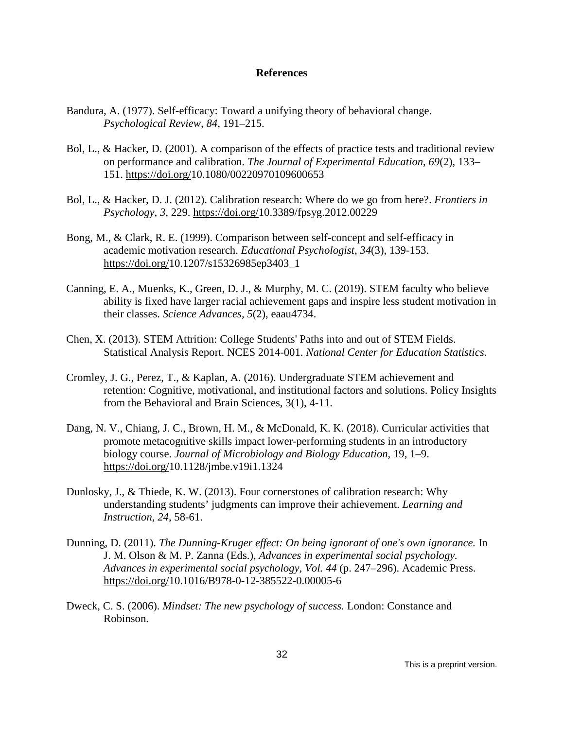#### **References**

- Bandura, A. (1977). Self-efficacy: Toward a unifying theory of behavioral change. *Psychological Review, 84*, 191–215.
- Bol, L., & Hacker, D. (2001). A comparison of the effects of practice tests and traditional review on performance and calibration. *The Journal of Experimental Education*, *69*(2), 133– 151. [https://doi.org/10.1080/00220970109600653](https://doi.org/10.1177%2F2332858418816658)
- Bol, L., & Hacker, D. J. (2012). Calibration research: Where do we go from here?. *Frontiers in Psychology*, *3*, 229. [https://doi.org/10.3389/fpsyg.2012.00229](https://doi.org/10.1177%2F2332858418816658)
- Bong, M., & Clark, R. E. (1999). Comparison between self-concept and self-efficacy in academic motivation research. *Educational Psychologist*, *34*(3), 139-153. [https://doi.org/10.1207/s15326985ep3403\\_1](https://doi.org/10.1177%2F2332858418816658)
- Canning, E. A., Muenks, K., Green, D. J., & Murphy, M. C. (2019). STEM faculty who believe ability is fixed have larger racial achievement gaps and inspire less student motivation in their classes. *Science Advances, 5*(2), eaau4734.
- Chen, X. (2013). STEM Attrition: College Students' Paths into and out of STEM Fields. Statistical Analysis Report. NCES 2014-001. *National Center for Education Statistics*.
- Cromley, J. G., Perez, T., & Kaplan, A. (2016). Undergraduate STEM achievement and retention: Cognitive, motivational, and institutional factors and solutions. Policy Insights from the Behavioral and Brain Sciences, 3(1), 4-11.
- Dang, N. V., Chiang, J. C., Brown, H. M., & McDonald, K. K. (2018). Curricular activities that promote metacognitive skills impact lower-performing students in an introductory biology course. *Journal of Microbiology and Biology Education,* 19, 1–9. [https://doi.org/1](https://doi.org/10.1177%2F2332858418816658)0.1128/jmbe.v19i1.1324
- Dunlosky, J., & Thiede, K. W. (2013). Four cornerstones of calibration research: Why understanding students' judgments can improve their achievement. *Learning and Instruction, 24*, 58-61.
- Dunning, D. (2011). *The Dunning-Kruger effect: On being ignorant of one's own ignorance.* In J. M. Olson & M. P. Zanna (Eds.), *Advances in experimental social psychology. Advances in experimental social psychology, Vol. 44* (p. 247–296). Academic Press. [https://doi.org/10.1016/B978-0-12-385522-0.00005-6](https://doi.org/10.1177%2F2332858418816658)
- Dweck, C. S. (2006). *Mindset: The new psychology of success.* London: Constance and Robinson.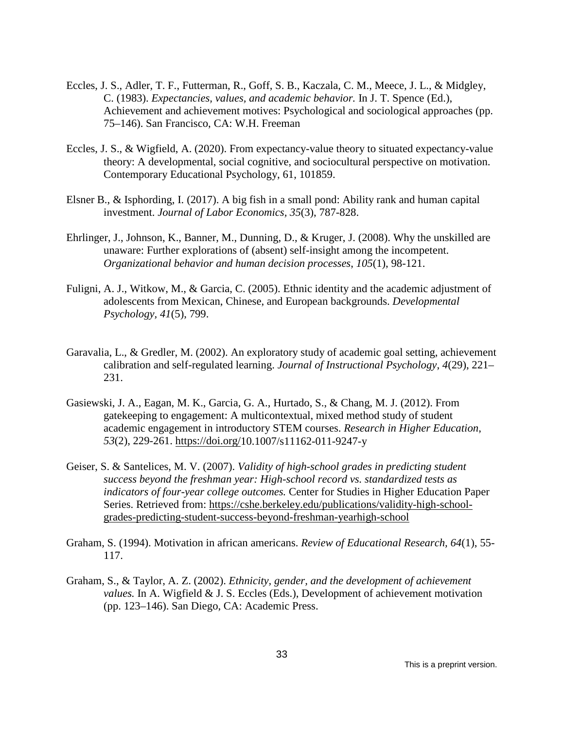- Eccles, J. S., Adler, T. F., Futterman, R., Goff, S. B., Kaczala, C. M., Meece, J. L., & Midgley, C. (1983). *Expectancies, values, and academic behavior.* In J. T. Spence (Ed.), Achievement and achievement motives: Psychological and sociological approaches (pp. 75–146). San Francisco, CA: W.H. Freeman
- Eccles, J. S., & Wigfield, A. (2020). From expectancy-value theory to situated expectancy-value theory: A developmental, social cognitive, and sociocultural perspective on motivation. Contemporary Educational Psychology, 61, 101859.
- Elsner B., & Isphording, I. (2017). A big fish in a small pond: Ability rank and human capital investment. *Journal of Labor Economics, 35*(3), 787-828.
- Ehrlinger, J., Johnson, K., Banner, M., Dunning, D., & Kruger, J. (2008). Why the unskilled are unaware: Further explorations of (absent) self-insight among the incompetent. *Organizational behavior and human decision processes*, *105*(1), 98-121.
- Fuligni, A. J., Witkow, M., & Garcia, C. (2005). Ethnic identity and the academic adjustment of adolescents from Mexican, Chinese, and European backgrounds. *Developmental Psychology, 41*(5), 799.
- Garavalia, L., & Gredler, M. (2002). An exploratory study of academic goal setting, achievement calibration and self-regulated learning. *Journal of Instructional Psychology*, *4*(29), 221– 231.
- Gasiewski, J. A., Eagan, M. K., Garcia, G. A., Hurtado, S., & Chang, M. J. (2012). From gatekeeping to engagement: A multicontextual, mixed method study of student academic engagement in introductory STEM courses. *Research in Higher Education*, *53*(2), 229-261. [https://doi.org/1](https://doi.org/10.1177%2F2332858418816658)0.1007/s11162-011-9247-y
- Geiser, S. & Santelices, M. V. (2007). *Validity of high-school grades in predicting student success beyond the freshman year: High-school record vs. standardized tests as indicators of four-year college outcomes.* Center for Studies in Higher Education Paper Series. Retrieved from: [https://cshe.berkeley.edu/publications/validity-high-school](https://cshe.berkeley.edu/publications/validity-high-school-grades-predicting-student-success-beyond-freshman-yearhigh-school)[grades-predicting-student-success-beyond-freshman-yearhigh-school](https://cshe.berkeley.edu/publications/validity-high-school-grades-predicting-student-success-beyond-freshman-yearhigh-school)
- Graham, S. (1994). Motivation in african americans. *Review of Educational Research, 64*(1), 55- 117.
- Graham, S., & Taylor, A. Z. (2002). *Ethnicity, gender, and the development of achievement values.* In A. Wigfield & J. S. Eccles (Eds.), Development of achievement motivation (pp. 123–146). San Diego, CA: Academic Press.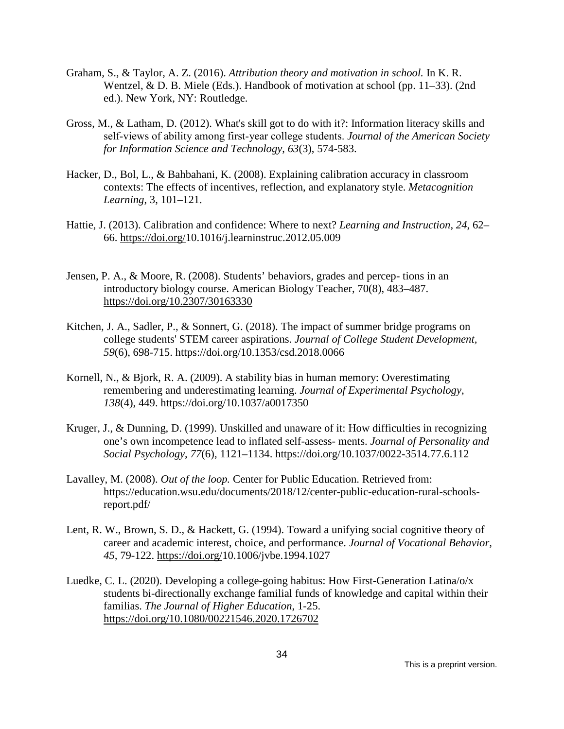- Graham, S., & Taylor, A. Z. (2016). *Attribution theory and motivation in school.* In K. R. Wentzel, & D. B. Miele (Eds.). Handbook of motivation at school (pp. 11–33). (2nd ed.). New York, NY: Routledge.
- Gross, M., & Latham, D. (2012). What's skill got to do with it?: Information literacy skills and self‐views of ability among first‐year college students. *Journal of the American Society for Information Science and Technology*, *63*(3), 574-583.
- Hacker, D., Bol, L., & Bahbahani, K. (2008). Explaining calibration accuracy in classroom contexts: The effects of incentives, reflection, and explanatory style. *Metacognition Learning*, 3, 101–121.
- Hattie, J. (2013). Calibration and confidence: Where to next? *Learning and Instruction*, *24*, 62– 66. [https://doi.org/1](https://doi.org/10.1177%2F2332858418816658)0.1016/j.learninstruc.2012.05.009
- Jensen, P. A., & Moore, R. (2008). Students' behaviors, grades and percep- tions in an introductory biology course. American Biology Teacher, 70(8), 483–487. <https://doi.org/10.2307/30163330>
- Kitchen, J. A., Sadler, P., & Sonnert, G. (2018). The impact of summer bridge programs on college students' STEM career aspirations. *Journal of College Student Development, 59*(6), 698-715. https://doi.org/10.1353/csd.2018.0066
- Kornell, N., & Bjork, R. A. (2009). A stability bias in human memory: Overestimating remembering and underestimating learning. *Journal of Experimental Psychology*, *138*(4), 449. [https://doi.org/10.1037/a0017350](https://doi.org/10.1177%2F2332858418816658)
- Kruger, J., & Dunning, D. (1999). Unskilled and unaware of it: How difficulties in recognizing one's own incompetence lead to inflated self-assess- ments. *Journal of Personality and Social Psychology*, *77*(6), 1121–1134. [https://doi.org/1](https://doi.org/10.1177%2F2332858418816658)0.1037/0022-3514.77.6.112
- Lavalley, M. (2008). *Out of the loop.* Center for Public Education. Retrieved from: https://education.wsu.edu/documents/2018/12/center-public-education-rural-schoolsreport.pdf/
- Lent, R. W., Brown, S. D., & Hackett, G. (1994). Toward a unifying social cognitive theory of career and academic interest, choice, and performance. *Journal of Vocational Behavior, 45,* 79-122. [https://doi.org/10.1006/jvbe.1994.1027](https://doi.org/10.1177%2F2332858418816658)
- Luedke, C. L. (2020). Developing a college-going habitus: How First-Generation Latina/o/x students bi-directionally exchange familial funds of knowledge and capital within their familias. *The Journal of Higher Education*, 1-25. [https://doi.org/10.1080/00221546.2020.1726702](https://doi.org/10.1177%2F2332858418816658)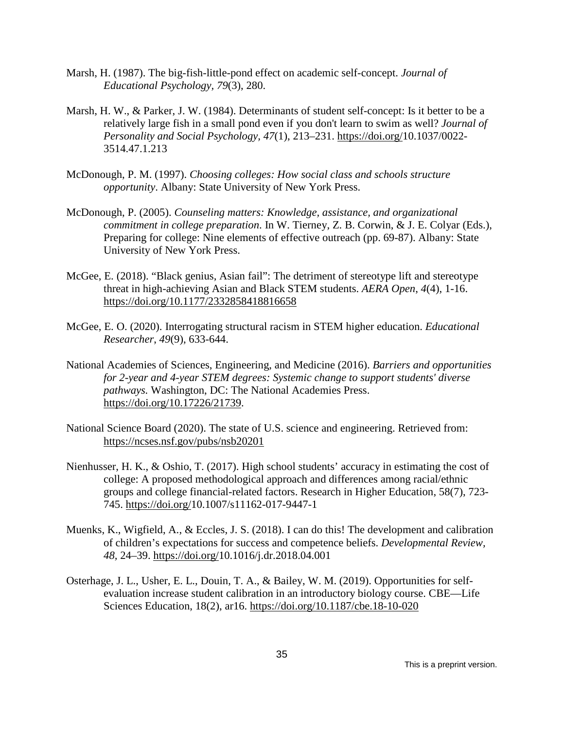- Marsh, H. (1987). The big-fish-little-pond effect on academic self-concept. *Journal of Educational Psychology, 79*(3), 280.
- Marsh, H. W., & Parker, J. W. (1984). Determinants of student self-concept: Is it better to be a relatively large fish in a small pond even if you don't learn to swim as well? *Journal of Personality and Social Psychology, 47*(1), 213–231. [https://doi.org/10.1037/0022-](https://doi.org/10.1177%2F2332858418816658) [3514.47.1.213](https://psycnet.apa.org/doi/10.1037/0022-3514.47.1.213)
- McDonough, P. M. (1997). *Choosing colleges: How social class and schools structure opportunity*. Albany: State University of New York Press.
- McDonough, P. (2005). *Counseling matters: Knowledge, assistance, and organizational commitment in college preparation*. In W. Tierney, Z. B. Corwin, & J. E. Colyar (Eds.), Preparing for college: Nine elements of effective outreach (pp. 69-87). Albany: State University of New York Press.
- McGee, E. (2018). "Black genius, Asian fail": The detriment of stereotype lift and stereotype threat in high-achieving Asian and Black STEM students. *AERA Open*, *4*(4), 1-16. [https://doi.org/10.1177/2332858418816658](https://doi.org/10.1177%2F2332858418816658)
- McGee, E. O. (2020). Interrogating structural racism in STEM higher education. *Educational Researcher*, *49*(9), 633-644.
- National Academies of Sciences, Engineering, and Medicine (2016). *Barriers and opportunities for 2-year and 4-year STEM degrees: Systemic change to support students' diverse pathways.* Washington, DC: The National Academies Press. [https://doi.org/10.17226/21739.](https://doi.org/10.17226/21739)
- National Science Board (2020). The state of U.S. science and engineering. Retrieved from: <https://ncses.nsf.gov/pubs/nsb20201>
- Nienhusser, H. K., & Oshio, T. (2017). High school students' accuracy in estimating the cost of college: A proposed methodological approach and differences among racial/ethnic groups and college financial-related factors. Research in Higher Education, 58(7), 723- 745. [https://doi.org/1](https://doi.org/10.1177%2F2332858418816658)0.1007/s11162-017-9447-1
- Muenks, K., Wigfield, A., & Eccles, J. S. (2018). I can do this! The development and calibration of children's expectations for success and competence beliefs. *Developmental Review, 48,* 24–39. [https://doi.org/10.1016/j.dr.2018.04.001](https://doi.org/10.1177%2F2332858418816658)
- Osterhage, J. L., Usher, E. L., Douin, T. A., & Bailey, W. M. (2019). Opportunities for selfevaluation increase student calibration in an introductory biology course. CBE—Life Sciences Education, 18(2), ar16. [https://doi.org/10.1187/cbe.18-10-020](https://doi.org/10.1177%2F2332858418816658)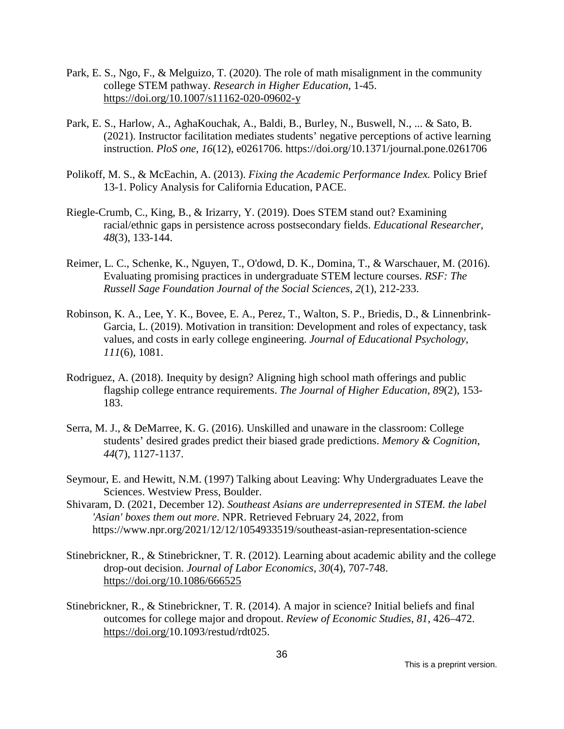- Park, E. S., Ngo, F., & Melguizo, T. (2020). The role of math misalignment in the community college STEM pathway. *Research in Higher Education*, 1-45. <https://doi.org/10.1007/s11162-020-09602-y>
- Park, E. S., Harlow, A., AghaKouchak, A., Baldi, B., Burley, N., Buswell, N., ... & Sato, B. (2021). Instructor facilitation mediates students' negative perceptions of active learning instruction. *PloS one*, *16*(12), e0261706.<https://doi.org/10.1371/journal.pone.0261706>
- Polikoff, M. S., & McEachin, A. (2013). *Fixing the Academic Performance Index.* Policy Brief 13-1. Policy Analysis for California Education, PACE.
- Riegle-Crumb, C., King, B., & Irizarry, Y. (2019). Does STEM stand out? Examining racial/ethnic gaps in persistence across postsecondary fields. *Educational Researcher*, *48*(3), 133-144.
- Reimer, L. C., Schenke, K., Nguyen, T., O'dowd, D. K., Domina, T., & Warschauer, M. (2016). Evaluating promising practices in undergraduate STEM lecture courses. *RSF: The Russell Sage Foundation Journal of the Social Sciences*, *2*(1), 212-233.
- Robinson, K. A., Lee, Y. K., Bovee, E. A., Perez, T., Walton, S. P., Briedis, D., & Linnenbrink-Garcia, L. (2019). Motivation in transition: Development and roles of expectancy, task values, and costs in early college engineering. *Journal of Educational Psychology, 111*(6), 1081.
- Rodriguez, A. (2018). Inequity by design? Aligning high school math offerings and public flagship college entrance requirements. *The Journal of Higher Education*, *89*(2), 153- 183.
- Serra, M. J., & DeMarree, K. G. (2016). Unskilled and unaware in the classroom: College students' desired grades predict their biased grade predictions. *Memory & Cognition*, *44*(7), 1127-1137.
- Seymour, E. and Hewitt, N.M. (1997) Talking about Leaving: Why Undergraduates Leave the Sciences. Westview Press, Boulder.
- Shivaram, D. (2021, December 12). *Southeast Asians are underrepresented in STEM. the label 'Asian' boxes them out more*. NPR. Retrieved February 24, 2022, from https://www.npr.org/2021/12/12/1054933519/southeast-asian-representation-science
- Stinebrickner, R., & Stinebrickner, T. R. (2012). Learning about academic ability and the college drop-out decision. *Journal of Labor Economics, 30*(4), 707-748. [https://doi.org/10.1086/666525](https://doi.org/10.1177%2F2332858418816658)
- Stinebrickner, R., & Stinebrickner, T. R. (2014). A major in science? Initial beliefs and final outcomes for college major and dropout. *Review of Economic Studies*, *81*, 426–472. [https://doi.org/1](https://doi.org/10.1177%2F2332858418816658)0.1093/restud/rdt025.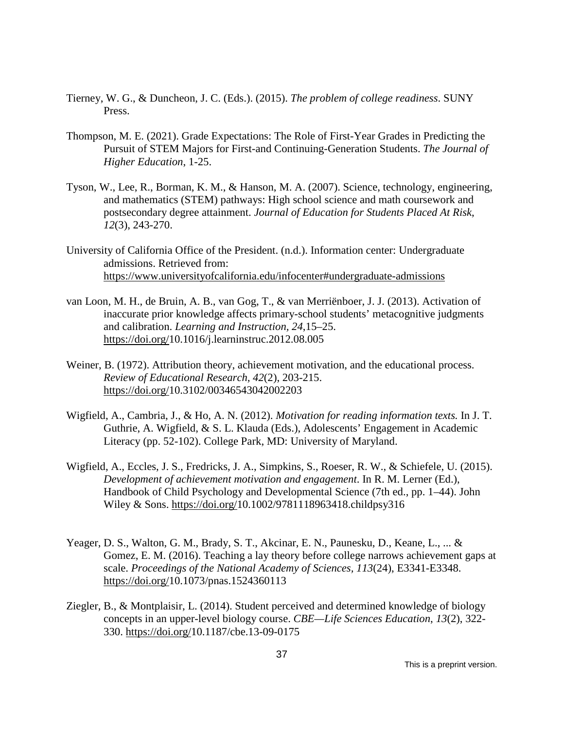- Tierney, W. G., & Duncheon, J. C. (Eds.). (2015). *The problem of college readiness*. SUNY Press.
- Thompson, M. E. (2021). Grade Expectations: The Role of First-Year Grades in Predicting the Pursuit of STEM Majors for First-and Continuing-Generation Students. *The Journal of Higher Education*, 1-25.
- Tyson, W., Lee, R., Borman, K. M., & Hanson, M. A. (2007). Science, technology, engineering, and mathematics (STEM) pathways: High school science and math coursework and postsecondary degree attainment. *Journal of Education for Students Placed At Risk*, *12*(3), 243-270.
- University of California Office of the President. (n.d.). Information center: Undergraduate admissions. Retrieved from: <https://www.universityofcalifornia.edu/infocenter#undergraduate-admissions>
- van Loon, M. H., de Bruin, A. B., van Gog, T., & van Merriënboer, J. J. (2013). Activation of inaccurate prior knowledge affects primary-school students' metacognitive judgments and calibration. *Learning and Instruction, 24*,15–25. [https://doi.org/10.1016/j.learninstruc.2012.08.005](https://doi.org/10.1177%2F2332858418816658)
- Weiner, B. (1972). Attribution theory, achievement motivation, and the educational process. *Review of Educational Research, 42*(2), 203-215. [https://doi.org/10.3102/00346543042002203](https://doi.org/10.1177%2F2332858418816658)
- Wigfield, A., Cambria, J., & Ho, A. N. (2012). *Motivation for reading information texts.* In J. T. Guthrie, A. Wigfield, & S. L. Klauda (Eds.), Adolescents' Engagement in Academic Literacy (pp. 52-102). College Park, MD: University of Maryland.
- Wigfield, A., Eccles, J. S., Fredricks, J. A., Simpkins, S., Roeser, R. W., & Schiefele, U. (2015). *Development of achievement motivation and engagement*. In R. M. Lerner (Ed.), Handbook of Child Psychology and Developmental Science (7th ed., pp. 1–44). John Wiley & Sons. [https://doi.org/1](https://doi.org/10.1177%2F2332858418816658)[0.1002/9781118963418.childpsy316](https://doi.org/10.1002/9781118963418.childpsy316)
- Yeager, D. S., Walton, G. M., Brady, S. T., Akcinar, E. N., Paunesku, D., Keane, L., ... & Gomez, E. M. (2016). Teaching a lay theory before college narrows achievement gaps at scale. *Proceedings of the National Academy of Sciences, 113*(24), E3341-E3348. [https://doi.org/10.1073/pnas.1524360113](https://doi.org/10.1177%2F2332858418816658)
- Ziegler, B., & Montplaisir, L. (2014). Student perceived and determined knowledge of biology concepts in an upper-level biology course. *CBE—Life Sciences Education*, *13*(2), 322- 330. [https://doi.org/10.1187/cbe.13-09-0175](https://doi.org/10.1177%2F2332858418816658)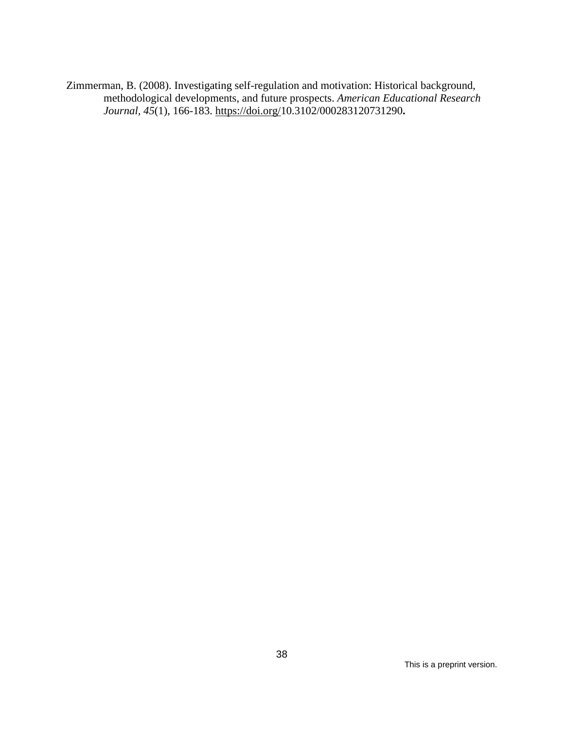Zimmerman, B. (2008). Investigating self-regulation and motivation: Historical background, methodological developments, and future prospects. *American Educational Research Journal, 45*(1), 166-183. [https://doi.org/10.3102/000283120731290](https://doi.org/10.1177%2F2332858418816658)**.**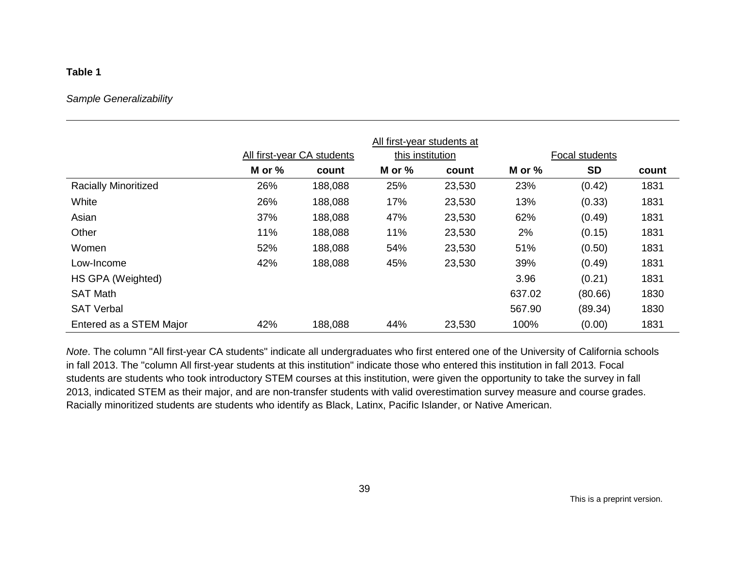## **Table 1**

#### *Sample Generalizability*

|                             | All first-year students at |                            |                  |        |        |                |       |  |
|-----------------------------|----------------------------|----------------------------|------------------|--------|--------|----------------|-------|--|
|                             |                            | All first-year CA students | this institution |        |        | Focal students |       |  |
|                             | M or %                     | count                      | M or %           | count  | M or % | <b>SD</b>      | count |  |
| <b>Racially Minoritized</b> | 26%                        | 188,088                    | 25%              | 23,530 | 23%    | (0.42)         | 1831  |  |
| White                       | 26%                        | 188,088                    | 17%              | 23,530 | 13%    | (0.33)         | 1831  |  |
| Asian                       | 37%                        | 188,088                    | 47%              | 23,530 | 62%    | (0.49)         | 1831  |  |
| Other                       | 11%                        | 188,088                    | 11%              | 23,530 | 2%     | (0.15)         | 1831  |  |
| Women                       | 52%                        | 188,088                    | 54%              | 23,530 | 51%    | (0.50)         | 1831  |  |
| Low-Income                  | 42%                        | 188,088                    | 45%              | 23,530 | 39%    | (0.49)         | 1831  |  |
| HS GPA (Weighted)           |                            |                            |                  |        | 3.96   | (0.21)         | 1831  |  |
| <b>SAT Math</b>             |                            |                            |                  |        | 637.02 | (80.66)        | 1830  |  |
| <b>SAT Verbal</b>           |                            |                            |                  |        | 567.90 | (89.34)        | 1830  |  |
| Entered as a STEM Major     | 42%                        | 188,088                    | 44%              | 23,530 | 100%   | (0.00)         | 1831  |  |

*Note*. The column "All first-year CA students" indicate all undergraduates who first entered one of the University of California schools in fall 2013. The "column All first-year students at this institution" indicate those who entered this institution in fall 2013. Focal students are students who took introductory STEM courses at this institution, were given the opportunity to take the survey in fall 2013, indicated STEM as their major, and are non-transfer students with valid overestimation survey measure and course grades. Racially minoritized students are students who identify as Black, Latinx, Pacific Islander, or Native American.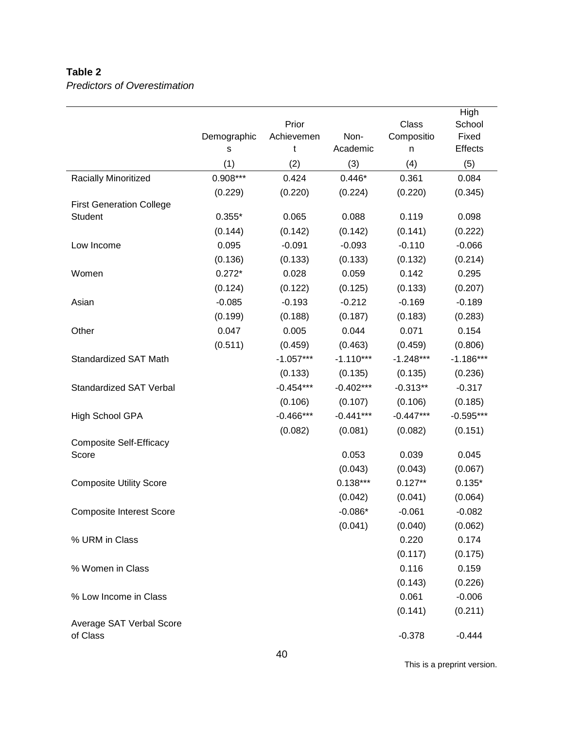## **Table 2**

*Predictors of Overestimation*

|                                      |             |             |             |             | High           |
|--------------------------------------|-------------|-------------|-------------|-------------|----------------|
|                                      |             | Prior       |             | Class       | School         |
|                                      | Demographic | Achievemen  | Non-        | Compositio  | Fixed          |
|                                      | s           | t           | Academic    | n           | <b>Effects</b> |
|                                      | (1)         | (2)         | (3)         | (4)         | (5)            |
| Racially Minoritized                 | 0.908***    | 0.424       | $0.446*$    | 0.361       | 0.084          |
|                                      | (0.229)     | (0.220)     | (0.224)     | (0.220)     | (0.345)        |
| <b>First Generation College</b>      | $0.355*$    | 0.065       | 0.088       | 0.119       |                |
| Student                              |             |             | (0.142)     |             | 0.098          |
|                                      | (0.144)     | (0.142)     |             | (0.141)     | (0.222)        |
| Low Income                           | 0.095       | $-0.091$    | $-0.093$    | $-0.110$    | $-0.066$       |
|                                      | (0.136)     | (0.133)     | (0.133)     | (0.132)     | (0.214)        |
| Women                                | $0.272*$    | 0.028       | 0.059       | 0.142       | 0.295          |
|                                      | (0.124)     | (0.122)     | (0.125)     | (0.133)     | (0.207)        |
| Asian                                | $-0.085$    | $-0.193$    | $-0.212$    | $-0.169$    | $-0.189$       |
|                                      | (0.199)     | (0.188)     | (0.187)     | (0.183)     | (0.283)        |
| Other                                | 0.047       | 0.005       | 0.044       | 0.071       | 0.154          |
|                                      | (0.511)     | (0.459)     | (0.463)     | (0.459)     | (0.806)        |
| <b>Standardized SAT Math</b>         |             | $-1.057***$ | $-1.110***$ | $-1.248***$ | $-1.186***$    |
|                                      |             | (0.133)     | (0.135)     | (0.135)     | (0.236)        |
| <b>Standardized SAT Verbal</b>       |             | $-0.454***$ | $-0.402***$ | $-0.313**$  | $-0.317$       |
|                                      |             | (0.106)     | (0.107)     | (0.106)     | (0.185)        |
| High School GPA                      |             | $-0.466***$ | $-0.441***$ | $-0.447***$ | $-0.595***$    |
|                                      |             | (0.082)     | (0.081)     | (0.082)     | (0.151)        |
| <b>Composite Self-Efficacy</b>       |             |             |             |             |                |
| Score                                |             |             | 0.053       | 0.039       | 0.045          |
|                                      |             |             | (0.043)     | (0.043)     | (0.067)        |
| <b>Composite Utility Score</b>       |             |             | $0.138***$  | $0.127**$   | $0.135*$       |
|                                      |             |             | (0.042)     | (0.041)     | (0.064)        |
| <b>Composite Interest Score</b>      |             |             | $-0.086*$   | $-0.061$    | $-0.082$       |
|                                      |             |             | (0.041)     | (0.040)     | (0.062)        |
| % URM in Class                       |             |             |             | 0.220       | 0.174          |
|                                      |             |             |             | (0.117)     | (0.175)        |
| % Women in Class                     |             |             |             | 0.116       | 0.159          |
|                                      |             |             |             | (0.143)     | (0.226)        |
| % Low Income in Class                |             |             |             | 0.061       | $-0.006$       |
|                                      |             |             |             | (0.141)     | (0.211)        |
| Average SAT Verbal Score<br>of Class |             |             |             | $-0.378$    | $-0.444$       |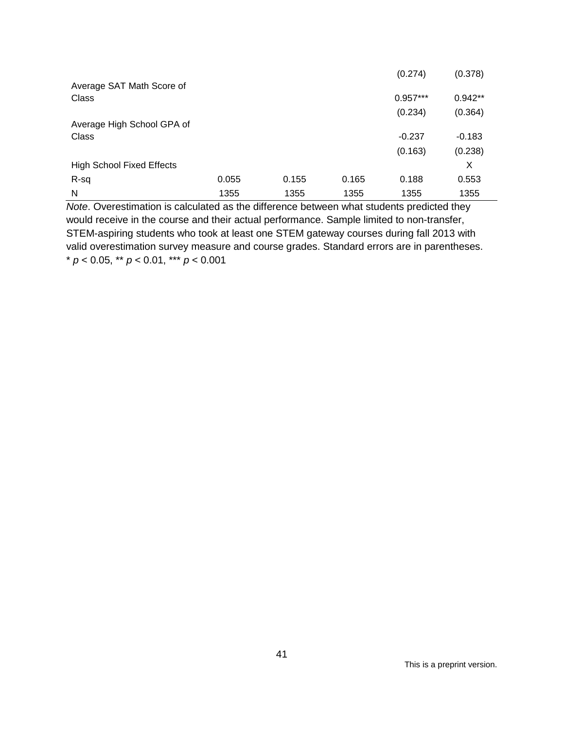|                                    |       |       |       | (0.274)    | (0.378)   |
|------------------------------------|-------|-------|-------|------------|-----------|
| Average SAT Math Score of<br>Class |       |       |       | $0.957***$ | $0.942**$ |
|                                    |       |       |       | (0.234)    | (0.364)   |
| Average High School GPA of         |       |       |       |            |           |
| <b>Class</b>                       |       |       |       | $-0.237$   | $-0.183$  |
|                                    |       |       |       | (0.163)    | (0.238)   |
| <b>High School Fixed Effects</b>   |       |       |       |            | X         |
| R-sq                               | 0.055 | 0.155 | 0.165 | 0.188      | 0.553     |
| N                                  | 1355  | 1355  | 1355  | 1355       | 1355      |

*Note*. Overestimation is calculated as the difference between what students predicted they would receive in the course and their actual performance. Sample limited to non-transfer, STEM-aspiring students who took at least one STEM gateway courses during fall 2013 with valid overestimation survey measure and course grades. Standard errors are in parentheses. \* *p* < 0.05, \*\* *p* < 0.01, \*\*\* *p* < 0.001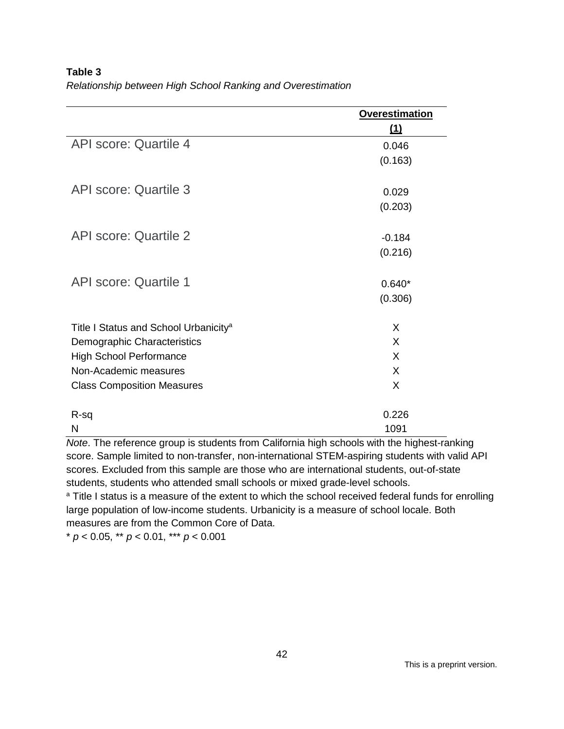**Table 3** *Relationship between High School Ranking and Overestimation*

|                                                   | <b>Overestimation</b> |
|---------------------------------------------------|-----------------------|
|                                                   | (1)                   |
| <b>API score: Quartile 4</b>                      | 0.046                 |
|                                                   | (0.163)               |
| <b>API score: Quartile 3</b>                      | 0.029                 |
|                                                   | (0.203)               |
| <b>API score: Quartile 2</b>                      | $-0.184$              |
|                                                   | (0.216)               |
| <b>API score: Quartile 1</b>                      | $0.640*$              |
|                                                   | (0.306)               |
| Title I Status and School Urbanicity <sup>a</sup> | X                     |
| Demographic Characteristics                       | X                     |
| <b>High School Performance</b>                    | X                     |
| Non-Academic measures                             | X                     |
| <b>Class Composition Measures</b>                 | X                     |
| $R-sq$                                            | 0.226                 |
| N                                                 | 1091                  |

*Note*. The reference group is students from California high schools with the highest-ranking score. Sample limited to non-transfer, non-international STEM-aspiring students with valid API scores. Excluded from this sample are those who are international students, out-of-state students, students who attended small schools or mixed grade-level schools.<br><sup>a</sup> Title I status is a measure of the extent to which the school received federal funds for enrolling

large population of low-income students. Urbanicity is a measure of school locale. Both measures are from the Common Core of Data.

\* *p* < 0.05, \*\* *p* < 0.01, \*\*\* *p* < 0.001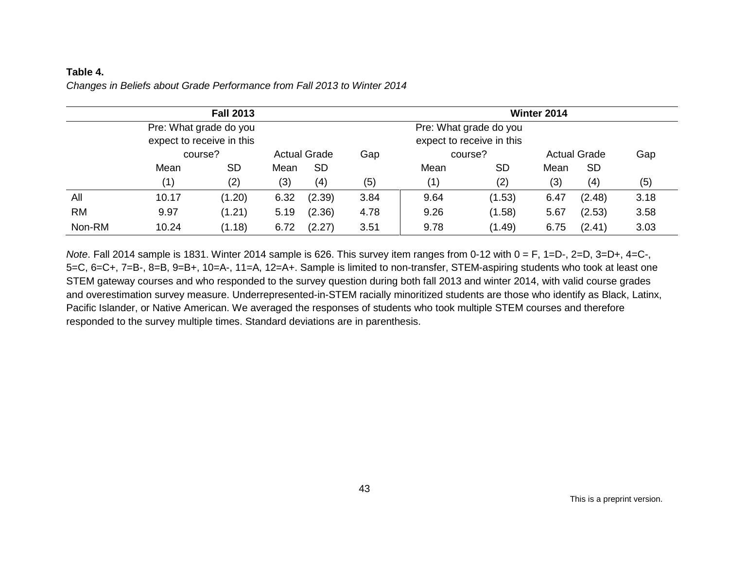## **Table 4.**

*Changes in Beliefs about Grade Performance from Fall 2013 to Winter 2014*

|           | <b>Fall 2013</b>          |                        |                           |                     | Winter 2014 |      |           |      |                     |      |
|-----------|---------------------------|------------------------|---------------------------|---------------------|-------------|------|-----------|------|---------------------|------|
|           |                           | Pre: What grade do you | Pre: What grade do you    |                     |             |      |           |      |                     |      |
|           | expect to receive in this |                        | expect to receive in this |                     |             |      |           |      |                     |      |
|           | course?                   |                        |                           | <b>Actual Grade</b> | Gap         |      | course?   |      | <b>Actual Grade</b> | Gap  |
|           | Mean                      | <b>SD</b>              | Mean                      | <b>SD</b>           |             | Mean | <b>SD</b> | Mean | <b>SD</b>           |      |
|           | (1)                       | (2)                    | (3)                       | (4)                 | (5)         | (1)  | (2)       | (3)  | (4)                 | (5)  |
| All       | 10.17                     | (1.20)                 | 6.32                      | (2.39)              | 3.84        | 9.64 | (1.53)    | 6.47 | (2.48)              | 3.18 |
| <b>RM</b> | 9.97                      | (1.21)                 | 5.19                      | (2.36)              | 4.78        | 9.26 | (1.58)    | 5.67 | (2.53)              | 3.58 |
| Non-RM    | 10.24                     | (1.18)                 | 6.72                      | (2.27)              | 3.51        | 9.78 | (1.49)    | 6.75 | (2.41)              | 3.03 |

*Note*. Fall 2014 sample is 1831. Winter 2014 sample is 626. This survey item ranges from 0-12 with 0 = F, 1=D-, 2=D, 3=D+, 4=C-, 5=C, 6=C+, 7=B-, 8=B, 9=B+, 10=A-, 11=A, 12=A+. Sample is limited to non-transfer, STEM-aspiring students who took at least one STEM gateway courses and who responded to the survey question during both fall 2013 and winter 2014, with valid course grades and overestimation survey measure. Underrepresented-in-STEM racially minoritized students are those who identify as Black, Latinx, Pacific Islander, or Native American. We averaged the responses of students who took multiple STEM courses and therefore responded to the survey multiple times. Standard deviations are in parenthesis.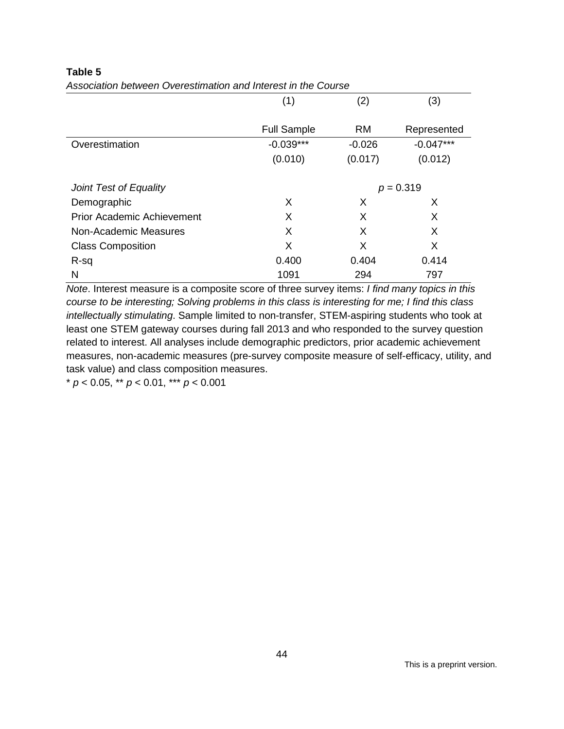|                                   | (1)                | (2)         | (3)         |  |
|-----------------------------------|--------------------|-------------|-------------|--|
|                                   | <b>Full Sample</b> | <b>RM</b>   | Represented |  |
| Overestimation                    | $-0.039***$        | $-0.026$    | $-0.047***$ |  |
|                                   | (0.010)            | (0.017)     | (0.012)     |  |
| Joint Test of Equality            |                    | $p = 0.319$ |             |  |
| Demographic                       | X                  | X           | X           |  |
| <b>Prior Academic Achievement</b> | X                  | X           | X           |  |
| Non-Academic Measures             | X                  | X           | X           |  |
| <b>Class Composition</b>          | X                  | X           | X           |  |
| R-sq                              | 0.400              | 0.404       | 0.414       |  |
| N                                 | 1091               | 294         | 797         |  |

## **Table 5**

*Association between Overestimation and Interest in the Course*

*Note*. Interest measure is a composite score of three survey items: *I find many topics in this course to be interesting; Solving problems in this class is interesting for me; I find this class intellectually stimulating*. Sample limited to non-transfer, STEM-aspiring students who took at least one STEM gateway courses during fall 2013 and who responded to the survey question related to interest. All analyses include demographic predictors, prior academic achievement measures, non-academic measures (pre-survey composite measure of self-efficacy, utility, and task value) and class composition measures.

\* *p* < 0.05, \*\* *p* < 0.01, \*\*\* *p* < 0.001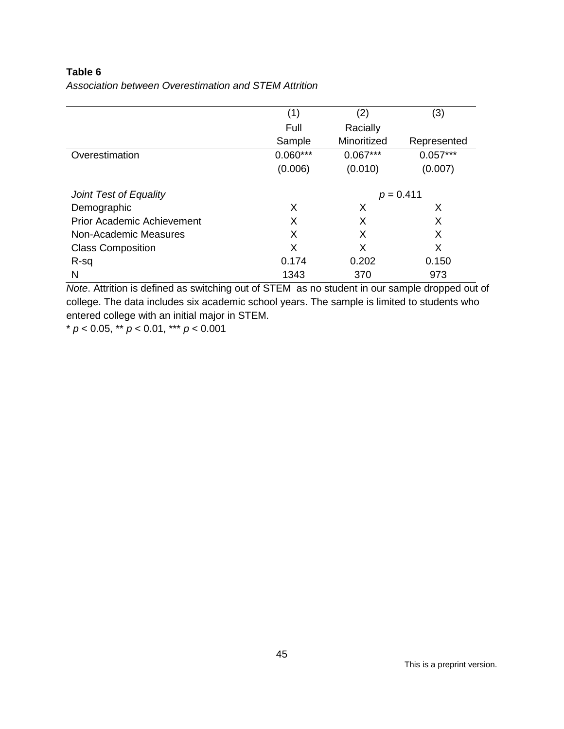## **Table 6**

| Association between Overestimation and STEM Attrition |
|-------------------------------------------------------|
|                                                       |

|                                   | (1)        | (2)         | (3)         |  |
|-----------------------------------|------------|-------------|-------------|--|
|                                   | Full       | Racially    |             |  |
|                                   | Sample     | Minoritized | Represented |  |
| Overestimation                    | $0.060***$ | $0.067***$  | $0.057***$  |  |
|                                   | (0.006)    | (0.010)     | (0.007)     |  |
| Joint Test of Equality            |            | $p = 0.411$ |             |  |
| Demographic                       | X          | X           | X           |  |
| <b>Prior Academic Achievement</b> | X          | X           | X           |  |
| Non-Academic Measures             | X          | X           | X           |  |
| <b>Class Composition</b>          | X          | X           | X           |  |
| R-sq                              | 0.174      | 0.202       | 0.150       |  |
| N                                 | 1343       | 370         | 973         |  |

*Note*. Attrition is defined as switching out of STEM as no student in our sample dropped out of college. The data includes six academic school years. The sample is limited to students who entered college with an initial major in STEM.

\* *p* < 0.05, \*\* *p* < 0.01, \*\*\* *p* < 0.001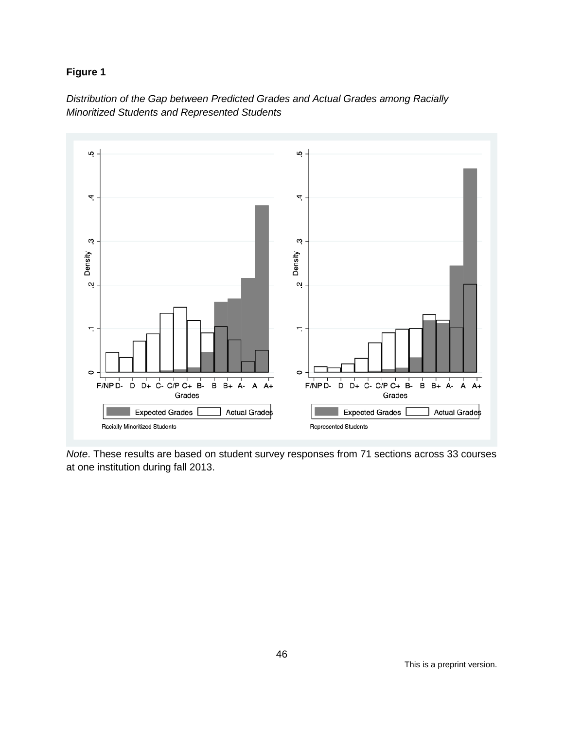## **Figure 1**



*Distribution of the Gap between Predicted Grades and Actual Grades among Racially Minoritized Students and Represented Students*

*Note*. These results are based on student survey responses from 71 sections across 33 courses at one institution during fall 2013.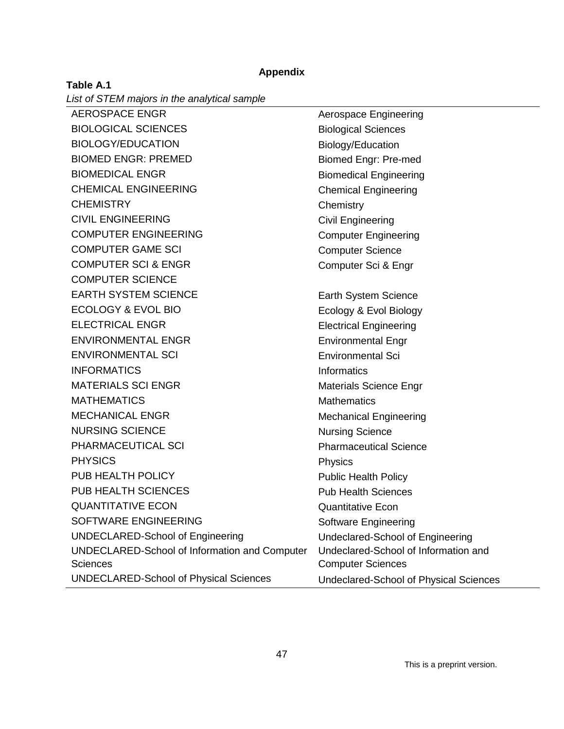#### **Appendix**

| Table A.1                                    |  |
|----------------------------------------------|--|
| List of STEM majors in the analytical sample |  |

AEROSPACE ENGR<br>
Aerospace Engineering BIOLOGICAL SCIENCES Biological Sciences BIOLOGY/EDUCATION Biology/Education BIOMED ENGR: PREMED Biomed Engr: Pre-med BIOMEDICAL ENGR<br>
Biomedical Engineering CHEMICAL ENGINEERING Chemical Engineering CHEMISTRY **CHEMISTRY** Chemistry CIVIL ENGINEERING CIVIL Engineering COMPUTER ENGINEERING COMPUTER ENGINEERING COMPUTER GAME SCI COMPUTER COMPUTER COME COMPUTER SCI & ENGR<br>
Computer Sci & Engr COMPUTER SCIENCE EARTH SYSTEM SCIENCE EARTH System Science ECOLOGY & EVOL BIO Ecology & Evol Biology ELECTRICAL ENGR<br>
Electrical Engineering ENVIRONMENTAL ENGR<br>
Environmental Engr ENVIRONMENTAL SCI Environmental Sci INFORMATICS Informatics MATERIALS SCI ENGR<br>
Materials Science Engr MATHEMATICS Mathematics MECHANICAL ENGR<br>
Mechanical Engineering NURSING SCIENCE Nursing Science PHARMACEUTICAL SCI **PHARMACEUTICAL SCI** PHYSICS PHYSICS PUB HEALTH POLICY **PUBLIC HEALTH** POLICY PUB HEALTH SCIENCES PUB Health Sciences QUANTITATIVE ECON Quantitative Econ SOFTWARE ENGINEERING SOFTWARE SOFTWARE SOFTWARE ENGINEERING UNDECLARED-School of Engineering Undeclared-School of Engineering UNDECLARED-School of Information and Computer **Sciences** Undeclared-School of Information and Computer Sciences UNDECLARED-School of Physical Sciences Undeclared-School of Physical Sciences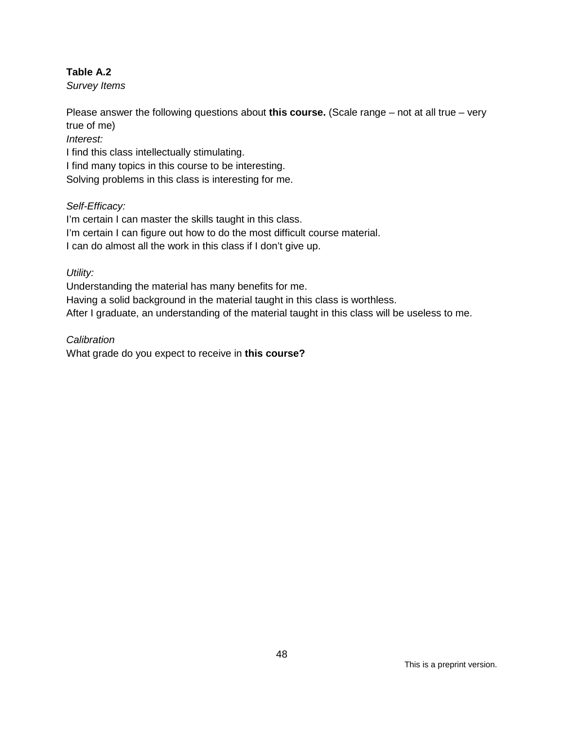## **Table A.2**

*Survey Items*

Please answer the following questions about **this course.** (Scale range – not at all true – very true of me)

*Interest:*

I find this class intellectually stimulating.

I find many topics in this course to be interesting.

Solving problems in this class is interesting for me.

## *Self-Efficacy:*

I'm certain I can master the skills taught in this class. I'm certain I can figure out how to do the most difficult course material. I can do almost all the work in this class if I don't give up.

*Utility:*

Understanding the material has many benefits for me.

Having a solid background in the material taught in this class is worthless.

After I graduate, an understanding of the material taught in this class will be useless to me.

*Calibration*

What grade do you expect to receive in **this course?**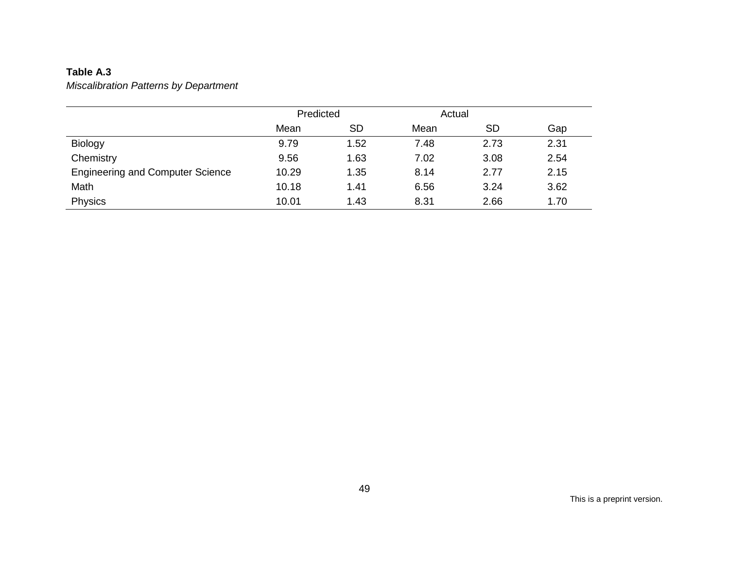## **Table A.3**

*Miscalibration Patterns by Department*

|                                         | Predicted |           | Actual |           |      |  |
|-----------------------------------------|-----------|-----------|--------|-----------|------|--|
|                                         | Mean      | <b>SD</b> | Mean   | <b>SD</b> | Gap  |  |
| Biology                                 | 9.79      | 1.52      | 7.48   | 2.73      | 2.31 |  |
| Chemistry                               | 9.56      | 1.63      | 7.02   | 3.08      | 2.54 |  |
| <b>Engineering and Computer Science</b> | 10.29     | 1.35      | 8.14   | 2.77      | 2.15 |  |
| Math                                    | 10.18     | 1.41      | 6.56   | 3.24      | 3.62 |  |
| Physics                                 | 10.01     | 1.43      | 8.31   | 2.66      | 1.70 |  |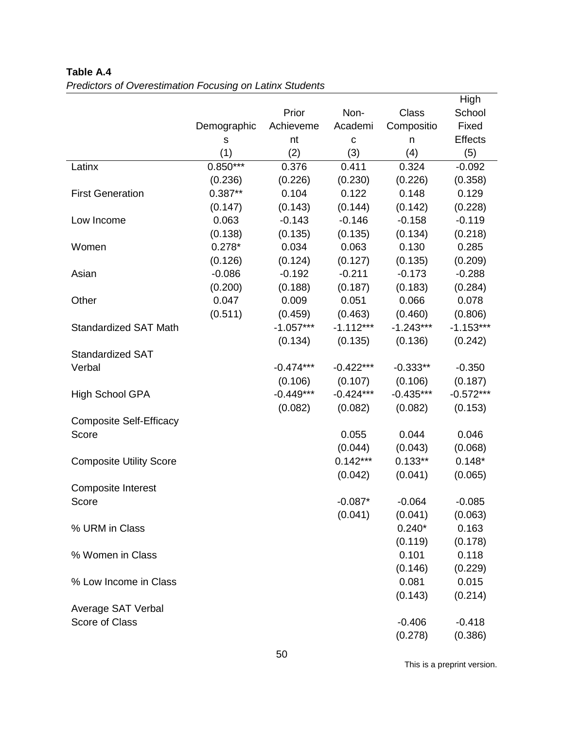|                                |             |             |             |              | High           |
|--------------------------------|-------------|-------------|-------------|--------------|----------------|
|                                |             | Prior       | Non-        | <b>Class</b> | School         |
|                                | Demographic | Achieveme   | Academi     | Compositio   | Fixed          |
|                                | $\mathbf S$ | nt          | $\mathbf C$ | n            | <b>Effects</b> |
|                                | (1)         | (2)         | (3)         | (4)          | (5)            |
| Latinx                         | $0.850***$  | 0.376       | 0.411       | 0.324        | $-0.092$       |
|                                | (0.236)     | (0.226)     | (0.230)     | (0.226)      | (0.358)        |
| <b>First Generation</b>        | $0.387**$   | 0.104       | 0.122       | 0.148        | 0.129          |
|                                | (0.147)     | (0.143)     | (0.144)     | (0.142)      | (0.228)        |
| Low Income                     | 0.063       | $-0.143$    | $-0.146$    | $-0.158$     | $-0.119$       |
|                                | (0.138)     | (0.135)     | (0.135)     | (0.134)      | (0.218)        |
| Women                          | $0.278*$    | 0.034       | 0.063       | 0.130        | 0.285          |
|                                | (0.126)     | (0.124)     | (0.127)     | (0.135)      | (0.209)        |
| Asian                          | $-0.086$    | $-0.192$    | $-0.211$    | $-0.173$     | $-0.288$       |
|                                | (0.200)     | (0.188)     | (0.187)     | (0.183)      | (0.284)        |
| Other                          | 0.047       | 0.009       | 0.051       | 0.066        | 0.078          |
|                                | (0.511)     | (0.459)     | (0.463)     | (0.460)      | (0.806)        |
| <b>Standardized SAT Math</b>   |             | $-1.057***$ | $-1.112***$ | $-1.243***$  | $-1.153***$    |
|                                |             | (0.134)     | (0.135)     | (0.136)      | (0.242)        |
| <b>Standardized SAT</b>        |             |             |             |              |                |
| Verbal                         |             | $-0.474***$ | $-0.422***$ | $-0.333**$   | $-0.350$       |
|                                |             | (0.106)     | (0.107)     | (0.106)      | (0.187)        |
| <b>High School GPA</b>         |             | $-0.449***$ | $-0.424***$ | $-0.435***$  | $-0.572***$    |
|                                |             | (0.082)     | (0.082)     | (0.082)      | (0.153)        |
| <b>Composite Self-Efficacy</b> |             |             |             |              |                |
| Score                          |             |             | 0.055       | 0.044        | 0.046          |
|                                |             |             | (0.044)     | (0.043)      | (0.068)        |
| <b>Composite Utility Score</b> |             |             | $0.142***$  | $0.133**$    | $0.148*$       |
|                                |             |             | (0.042)     | (0.041)      | (0.065)        |
| <b>Composite Interest</b>      |             |             |             |              |                |
| Score                          |             |             | $-0.087*$   | $-0.064$     | $-0.085$       |
|                                |             |             | (0.041)     | (0.041)      | (0.063)        |
| % URM in Class                 |             |             |             | $0.240*$     | 0.163          |
|                                |             |             |             | (0.119)      | (0.178)        |
| % Women in Class               |             |             |             | 0.101        | 0.118          |
|                                |             |             |             | (0.146)      | (0.229)        |
| % Low Income in Class          |             |             |             | 0.081        | 0.015          |
|                                |             |             |             | (0.143)      | (0.214)        |
| Average SAT Verbal             |             |             |             |              |                |
| Score of Class                 |             |             |             | $-0.406$     | $-0.418$       |
|                                |             |             |             | (0.278)      | (0.386)        |

## **Table A.4**  *Predictors of Overestimation Focusing on Latinx Students*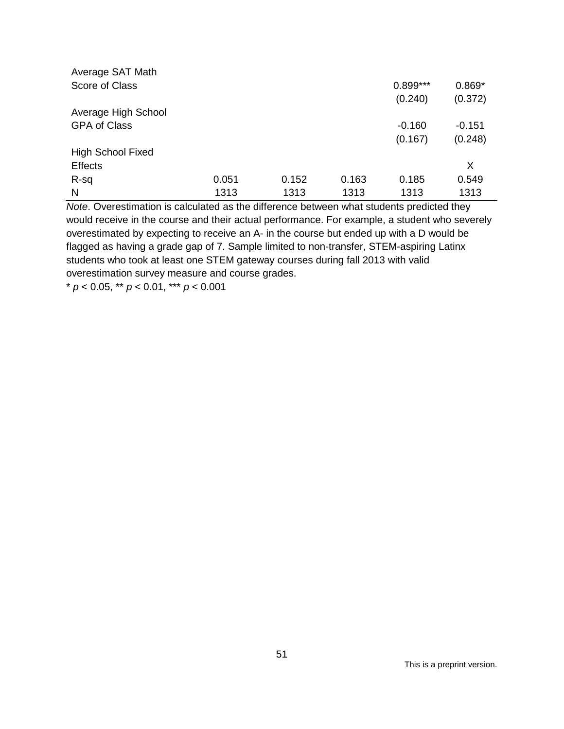| Average SAT Math         |       |       |       |            |          |
|--------------------------|-------|-------|-------|------------|----------|
| Score of Class           |       |       |       | $0.899***$ | $0.869*$ |
|                          |       |       |       | (0.240)    | (0.372)  |
| Average High School      |       |       |       |            |          |
| <b>GPA of Class</b>      |       |       |       | $-0.160$   | $-0.151$ |
|                          |       |       |       | (0.167)    | (0.248)  |
| <b>High School Fixed</b> |       |       |       |            |          |
| <b>Effects</b>           |       |       |       |            | X        |
| R-sq                     | 0.051 | 0.152 | 0.163 | 0.185      | 0.549    |
| N                        | 1313  | 1313  | 1313  | 1313       | 1313     |

*Note*. Overestimation is calculated as the difference between what students predicted they would receive in the course and their actual performance. For example, a student who severely overestimated by expecting to receive an A- in the course but ended up with a D would be flagged as having a grade gap of 7. Sample limited to non-transfer, STEM-aspiring Latinx students who took at least one STEM gateway courses during fall 2013 with valid overestimation survey measure and course grades.

\* *p* < 0.05, \*\* *p* < 0.01, \*\*\* *p* < 0.001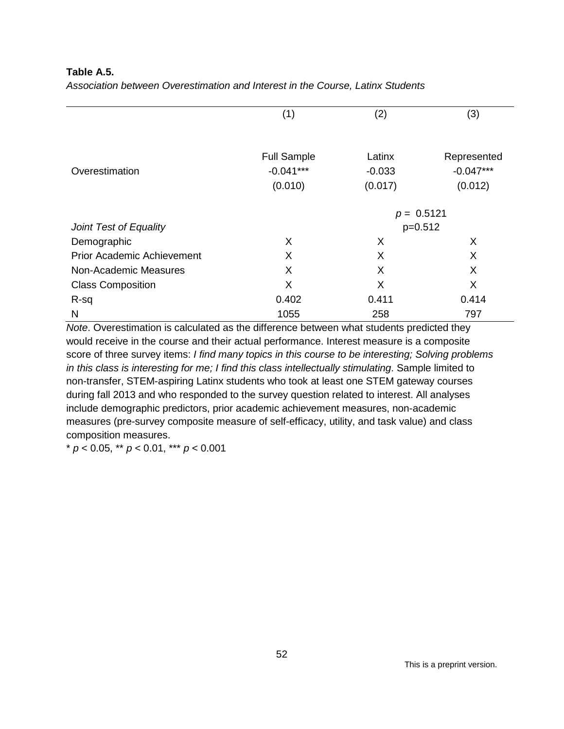**Table A.5.** 

| Association between Overestimation and Interest in the Course, Latinx Students |  |  |
|--------------------------------------------------------------------------------|--|--|
|--------------------------------------------------------------------------------|--|--|

|                                   | (1)<br>(2)         |              | (3)         |  |  |
|-----------------------------------|--------------------|--------------|-------------|--|--|
|                                   |                    |              |             |  |  |
|                                   | <b>Full Sample</b> | Latinx       | Represented |  |  |
| Overestimation                    | $-0.041***$        | $-0.033$     | $-0.047***$ |  |  |
|                                   | (0.010)            | (0.017)      | (0.012)     |  |  |
|                                   |                    |              |             |  |  |
|                                   |                    | $p = 0.5121$ |             |  |  |
| Joint Test of Equality            |                    | $p=0.512$    |             |  |  |
| Demographic                       | X                  | X            | X           |  |  |
| <b>Prior Academic Achievement</b> | X                  | X            | X           |  |  |
| Non-Academic Measures             | X                  | X            | X           |  |  |
| <b>Class Composition</b>          | X                  | X            | X           |  |  |
| R-sq                              | 0.402              | 0.411        | 0.414       |  |  |
| N                                 | 1055               | 258          | 797         |  |  |

*Note*. Overestimation is calculated as the difference between what students predicted they would receive in the course and their actual performance. Interest measure is a composite score of three survey items: *I find many topics in this course to be interesting; Solving problems in this class is interesting for me; I find this class intellectually stimulating*. Sample limited to non-transfer, STEM-aspiring Latinx students who took at least one STEM gateway courses during fall 2013 and who responded to the survey question related to interest. All analyses include demographic predictors, prior academic achievement measures, non-academic measures (pre-survey composite measure of self-efficacy, utility, and task value) and class composition measures.

\* *p* < 0.05, \*\* *p* < 0.01, \*\*\* *p* < 0.001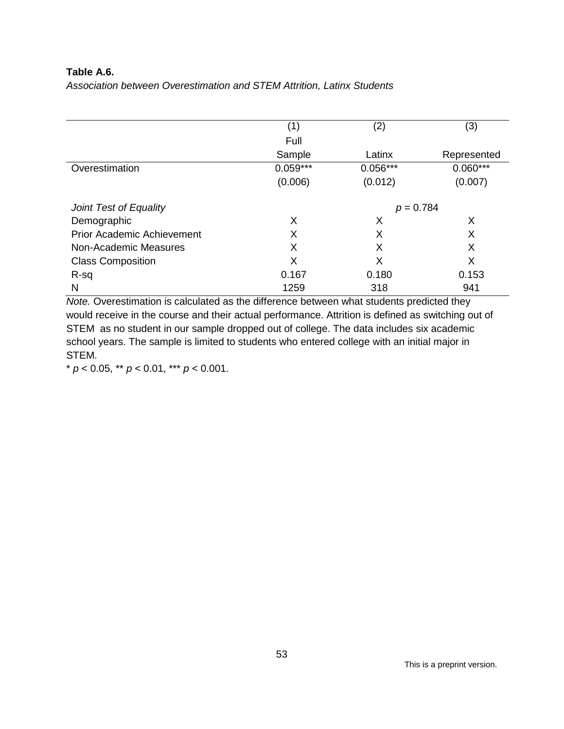## **Table A.6.**

|  |  | Association between Overestimation and STEM Attrition, Latinx Students |
|--|--|------------------------------------------------------------------------|
|  |  |                                                                        |

|                                   | (1)        | (2)         | (3)         |  |
|-----------------------------------|------------|-------------|-------------|--|
|                                   | Full       |             |             |  |
|                                   | Sample     | Latinx      | Represented |  |
| Overestimation                    | $0.059***$ | $0.056***$  | $0.060***$  |  |
|                                   | (0.006)    | (0.012)     | (0.007)     |  |
| Joint Test of Equality            |            | $p = 0.784$ |             |  |
| Demographic                       | X          | X           | Х           |  |
| <b>Prior Academic Achievement</b> | X          | X           | X           |  |
| Non-Academic Measures             | X          | X           | X           |  |
| <b>Class Composition</b>          | X          | X           | X           |  |
| R-sq                              | 0.167      | 0.180       | 0.153       |  |
| N                                 | 1259       | 318         | 941         |  |

*Note.* Overestimation is calculated as the difference between what students predicted they would receive in the course and their actual performance. Attrition is defined as switching out of STEM as no student in our sample dropped out of college. The data includes six academic school years. The sample is limited to students who entered college with an initial major in STEM.

\* *p* < 0.05, \*\* *p* < 0.01, \*\*\* *p* < 0.001.